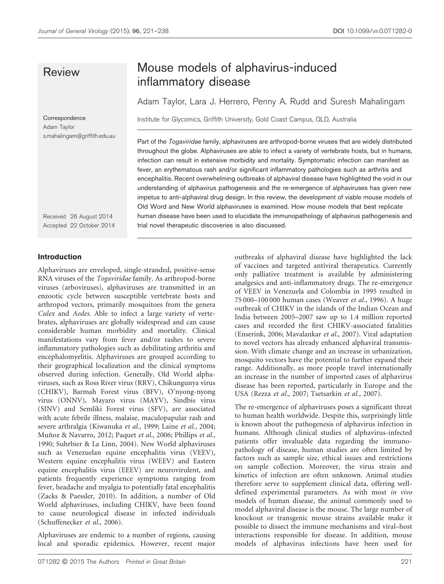Review Mouse models of alphavirus-induced inflammatory disease

Adam Taylor, Lara J. Herrero, Penny A. Rudd and Suresh Mahalingam

Institute for Glycomics, Griffith University, Gold Coast Campus, QLD, Australia

Correspondence Adam Taylor s.mahalingam@griffith.edu.au

Received 26 August 2014 Accepted 22 October 2014 Part of the Togaviridae family, alphaviruses are arthropod-borne viruses that are widely distributed throughout the globe. Alphaviruses are able to infect a variety of vertebrate hosts, but in humans, infection can result in extensive morbidity and mortality. Symptomatic infection can manifest as fever, an erythematous rash and/or significant inflammatory pathologies such as arthritis and encephalitis. Recent overwhelming outbreaks of alphaviral disease have highlighted the void in our understanding of alphavirus pathogenesis and the re-emergence of alphaviruses has given new impetus to anti-alphaviral drug design. In this review, the development of viable mouse models of Old Word and New World alphaviruses is examined. How mouse models that best replicate human disease have been used to elucidate the immunopathology of alphavirus pathogenesis and trial novel therapeutic discoveries is also discussed.

Introduction

Alphaviruses are enveloped, single-stranded, positive-sense RNA viruses of the Togaviridae family. As arthropod-borne viruses (arboviruses), alphaviruses are transmitted in an enzootic cycle between susceptible vertebrate hosts and arthropod vectors, primarily mosquitoes from the genera Culex and Aedes. Able to infect a large variety of vertebrates, alphaviruses are globally widespread and can cause considerable human morbidity and mortality. Clinical manifestations vary from fever and/or rashes to severe inflammatory pathologies such as debilitating arthritis and encephalomyelitis. Alphaviruses are grouped according to their geographical localization and the clinical symptoms observed during infection. Generally, Old World alphaviruses, such as Ross River virus (RRV), Chikungunya virus (CHIKV), Barmah Forest virus (BFV), O'nyong-nyong virus (ONNV), Mayaro virus (MAYV), Sindbis virus (SINV) and Semliki Forest virus (SFV), are associated with acute febrile illness, malaise, maculopapular rash and severe arthralgia (Kiwanuka et al., 1999; Laine et al., 2004; Muñoz & Navarro, 2012; Paquet et al., 2006; Phillips et al., 1990; Suhrbier & La Linn, 2004). New World alphaviruses such as Venezuelan equine encephalitis virus (VEEV), Western equine encephalitis virus (WEEV) and Eastern equine encephalitis virus (EEEV) are neurovirulent, and patients frequently experience symptoms ranging from fever, headache and myalgia to potentially fatal encephalitis (Zacks & Paessler, 2010). In addition, a number of Old World alphaviruses, including CHIKV, have been found to cause neurological disease in infected individuals (Schuffenecker et al., 2006).

Alphaviruses are endemic to a number of regions, causing local and sporadic epidemics. However, recent major

071282 © 2015 The Authors Printed in Great Britain 2014 Control of the Control of the Control of the Control of the Control of the Control of the Control of the Control of the Control of the Control of the Control of the C

outbreaks of alphaviral disease have highlighted the lack of vaccines and targeted antiviral therapeutics. Currently only palliative treatment is available by administering analgesics and anti-inflammatory drugs. The re-emergence of VEEV in Venezuela and Colombia in 1995 resulted in 75 000–100 000 human cases (Weaver et al., 1996). A huge outbreak of CHIKV in the islands of the Indian Ocean and India between 2005–2007 saw up to 1.4 million reported cases and recorded the first CHIKV-associated fatalities (Enserink, 2006; Mavalankar et al., 2007). Viral adaptation to novel vectors has already enhanced alphaviral transmission. With climate change and an increase in urbanization, mosquito vectors have the potential to further expand their range. Additionally, as more people travel internationally an increase in the number of imported cases of alphavirus disease has been reported, particularly in Europe and the USA (Rezza et al., 2007; Tsetsarkin et al., 2007).

The re-emergence of alphaviruses poses a significant threat to human health worldwide. Despite this, surprisingly little is known about the pathogenesis of alphavirus infection in humans. Although clinical studies of alphavirus-infected patients offer invaluable data regarding the immunopathology of disease, human studies are often limited by factors such as sample size, ethical issues and restrictions on sample collection. Moreover, the virus strain and kinetics of infection are often unknown. Animal studies therefore serve to supplement clinical data, offering welldefined experimental parameters. As with most in vivo models of human disease, the animal commonly used to model alphaviral disease is the mouse. The large number of knockout or transgenic mouse strains available make it possible to dissect the immune mechanisms and viral–host interactions responsible for disease. In addition, mouse models of alphavirus infections have been used for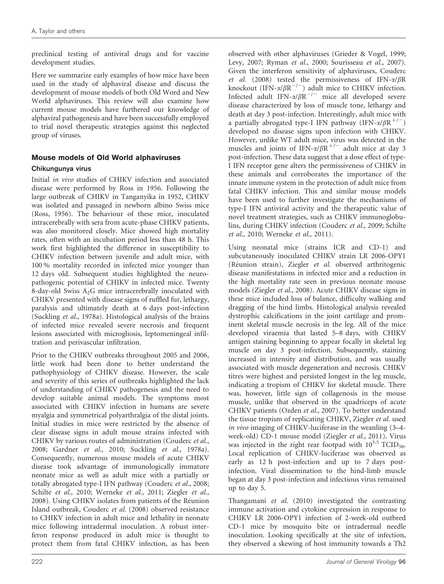preclinical testing of antiviral drugs and for vaccine development studies.

Here we summarize early examples of how mice have been used in the study of alphaviral disease and discuss the development of mouse models of both Old Word and New World alphaviruses. This review will also examine how current mouse models have furthered our knowledge of alphaviral pathogenesis and have been successfully employed to trial novel therapeutic strategies against this neglected group of viruses.

# Mouse models of Old World alphaviruses

# Chikungunya virus

Initial in vivo studies of CHIKV infection and associated disease were performed by Ross in 1956. Following the large outbreak of CHIKV in Tanganyika in 1952, CHIKV was isolated and passaged in newborn albino Swiss mice (Ross, 1956). The behaviour of these mice, inoculated intracerebrally with sera from acute-phase CHIKV patients, was also monitored closely. Mice showed high mortality rates, often with an incubation period less than 48 h. This work first highlighted the difference in susceptibility to CHIKV infection between juvenile and adult mice, with 100 % mortality recorded in infected mice younger than 12 days old. Subsequent studies highlighted the neuropathogenic potential of CHIKV in infected mice. Twenty 8-day-old Swiss  $A_2G$  mice intracerebrally inoculated with CHIKV presented with disease signs of ruffled fur, lethargy, paralysis and ultimately death at 6 days post-infection (Suckling et al., 1978a). Histological analysis of the brains of infected mice revealed severe necrosis and frequent lesions associated with microgliosis, leptomeningeal infiltration and perivascular infiltration.

Prior to the CHIKV outbreaks throughout 2005 and 2006, little work had been done to better understand the pathophysiology of CHIKV disease. However, the scale and severity of this series of outbreaks highlighted the lack of understanding of CHIKV pathogenesis and the need to develop suitable animal models. The symptoms most associated with CHIKV infection in humans are severe myalgia and symmetrical polyarthralgia of the distal joints. Initial studies in mice were restricted by the absence of clear disease signs in adult mouse strains infected with CHIKV by various routes of administration (Couderc et al., 2008; Gardner et al., 2010; Suckling et al., 1978a). Consequently, numerous mouse models of acute CHIKV disease took advantage of immunologically immature neonate mice as well as adult mice with a partially or totally abrogated type-I IFN pathway (Couderc et al., 2008; Schilte et al., 2010; Werneke et al., 2011; Ziegler et al., 2008). Using CHIKV isolates from patients of the Réunion Island outbreak, Couderc et al. (2008) observed resistance to CHIKV infection in adult mice and lethality in neonate mice following intradermal inoculation. A robust interferon response produced in adult mice is thought to protect them from fatal CHIKV infection, as has been

et al. (2008) tested the permissiveness of IFN- $\alpha$ / $\beta$ R knockout (IFN- $\alpha/\beta R^{-/-}$ ) adult mice to CHIKV infection. Infected adult IFN- $\alpha/\beta R^{-/-}$  mice all developed severe disease characterized by loss of muscle tone, lethargy and death at day 3 post-infection. Interestingly, adult mice with a partially abrogated type-I IFN pathway (IFN- $\alpha/\beta R^{+/-}$ ) developed no disease signs upon infection with CHIKV. However, unlike WT adult mice, virus was detected in the muscles and joints of IFN- $\alpha/\beta R^{+/-}$  adult mice at day 3 post-infection. These data suggest that a dose effect of type-I IFN receptor gene alters the permissiveness of CHIKV in these animals and corroborates the importance of the innate immune system in the protection of adult mice from fatal CHIKV infection. This and similar mouse models have been used to further investigate the mechanisms of type-I IFN antiviral activity and the therapeutic value of novel treatment strategies, such as CHIKV immunoglobulins, during CHIKV infection (Couderc et al., 2009; Schilte et al., 2010; Werneke et al., 2011). Using neonatal mice (strains ICR and CD-1) and subcutaneously inoculated CHIKV strain LR 2006-OPY1

observed with other alphaviruses (Grieder & Vogel, 1999; Levy, 2007; Ryman et al., 2000; Sourisseau et al., 2007). Given the interferon sensitivity of alphaviruses, Couderc

(Réunion strain), Ziegler et al. observed arthritogenic disease manifestations in infected mice and a reduction in the high mortality rate seen in previous neonate mouse models (Ziegler et al., 2008). Acute CHIKV disease signs in these mice included loss of balance, difficulty walking and dragging of the hind limbs. Histological analysis revealed dystrophic calcifications in the joint cartilage and prominent skeletal muscle necrosis in the leg. All of the mice developed viraemia that lasted 5–8 days, with CHIKV antigen staining beginning to appear focally in skeletal leg muscle on day 3 post-infection. Subsequently, staining increased in intensity and distribution, and was usually associated with muscle degeneration and necrosis. CHIKV titres were highest and persisted longest in the leg muscle, indicating a tropism of CHIKV for skeletal muscle. There was, however, little sign of collagenosis in the mouse muscle, unlike that observed in the quadriceps of acute CHIKV patients (Ozden et al., 2007). To better understand the tissue tropism of replicating CHIKV, Ziegler et al. used in vivo imaging of CHIKV-luciferase in the weanling (3–4 week-old) CD-1 mouse model (Ziegler et al., 2011). Virus was injected in the right rear footpad with  $10^{5.5}$  TCID<sub>50</sub>. Local replication of CHIKV-luciferase was observed as early as 12 h post-infection and up to 7 days postinfection. Viral dissemination to the hind-limb muscle began at day 3 post-infection and infectious virus remained up to day 5.

Thangamani et al. (2010) investigated the contrasting immune activation and cytokine expression in response to CHIKV LR 2006-OPY1 infection of 2-week-old outbred CD-1 mice by mosquito bite or intradermal needle inoculation. Looking specifically at the site of infection, they observed a skewing of host immunity towards a Th2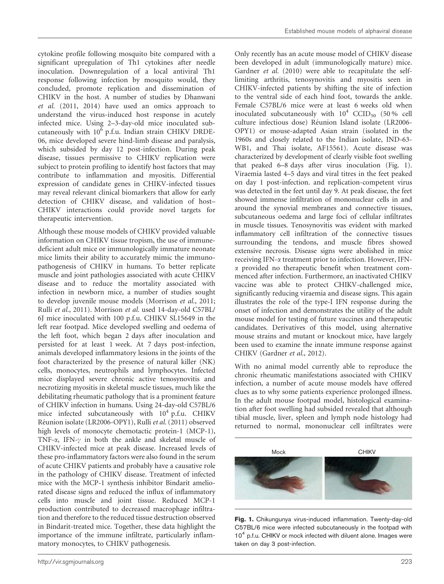cytokine profile following mosquito bite compared with a significant upregulation of Th1 cytokines after needle inoculation. Downregulation of a local antiviral Th1 response following infection by mosquito would, they concluded, promote replication and dissemination of CHIKV in the host. A number of studies by Dhanwani et al. (2011, 2014) have used an omics approach to understand the virus-induced host response in acutely infected mice. Using 2–3-day-old mice inoculated subcutaneously with 10<sup>6</sup> p.f.u. Indian strain CHIKV DRDE-06, mice developed severe hind-limb disease and paralysis, which subsided by day 12 post-infection. During peak disease, tissues permissive to CHIKV replication were subject to protein profiling to identify host factors that may contribute to inflammation and myositis. Differential expression of candidate genes in CHIKV-infected tissues may reveal relevant clinical biomarkers that allow for early detection of CHIKV disease, and validation of host– CHIKV interactions could provide novel targets for therapeutic intervention.

Although these mouse models of CHIKV provided valuable information on CHIKV tissue tropism, the use of immunedeficient adult mice or immunologically immature neonate mice limits their ability to accurately mimic the immunopathogenesis of CHIKV in humans. To better replicate muscle and joint pathologies associated with acute CHIKV disease and to reduce the mortality associated with infection in newborn mice, a number of studies sought to develop juvenile mouse models (Morrison et al., 2011; Rulli et al., 2011). Morrison et al. used 14-day-old C57BL/ 6J mice inoculated with 100 p.f.u. CHIKV SL15649 in the left rear footpad. Mice developed swelling and oedema of the left foot, which began 2 days after inoculation and persisted for at least 1 week. At 7 days post-infection, animals developed inflammatory lesions in the joints of the foot characterized by the presence of natural killer (NK) cells, monocytes, neutrophils and lymphocytes. Infected mice displayed severe chronic active tenosynovitis and necrotizing myositis in skeletal muscle tissues, much like the debilitating rheumatic pathology that is a prominent feature of CHIKV infection in humans. Using 24-day-old C57BL/6 mice infected subcutaneously with 10<sup>4</sup> p.f.u. CHIKV Réunion isolate (LR2006-OPY1), Rulli et al. (2011) observed high levels of monocyte chemotactic protein-1 (MCP-1), TNF- $\alpha$ , IFN- $\gamma$  in both the ankle and skeletal muscle of CHIKV-infected mice at peak disease. Increased levels of these pro-inflammatory factors were also found in the serum of acute CHIKV patients and probably have a causative role in the pathology of CHIKV disease. Treatment of infected mice with the MCP-1 synthesis inhibitor Bindarit ameliorated disease signs and reduced the influx of inflammatory cells into muscle and joint tissue. Reduced MCP-1 production contributed to decreased macrophage infiltration and therefore to the reduced tissue destruction observed in Bindarit-treated mice. Together, these data highlight the importance of the immune infiltrate, particularly inflammatory monocytes, to CHIKV pathogenesis.

Only recently has an acute mouse model of CHIKV disease been developed in adult (immunologically mature) mice. Gardner et al. (2010) were able to recapitulate the selflimiting arthritis, tenosynovitis and myositis seen in CHIKV-infected patients by shifting the site of infection to the ventral side of each hind foot, towards the ankle. Female C57BL/6 mice were at least 6 weeks old when inoculated subcutaneously with  $10^4$  CCID<sub>50</sub> (50 % cell culture infectious dose) Réunion Island isolate (LR2006-OPY1) or mouse-adapted Asian strain (isolated in the 1960s and closely related to the Indian isolate, IND-63- WB1, and Thai isolate, AF15561). Acute disease was characterized by development of clearly visible foot swelling that peaked 6–8 days after virus inoculation (Fig. 1). Viraemia lasted 4–5 days and viral titres in the feet peaked on day 1 post-infection. and replication-competent virus was detected in the feet until day 9. At peak disease, the feet showed immense infiltration of mononuclear cells in and around the synovial membranes and connective tissues, subcutaneous oedema and large foci of cellular infiltrates in muscle tissues. Tenosynovitis was evident with marked inflammatory cell infiltration of the connective tissues surrounding the tendons, and muscle fibres showed extensive necrosis. Disease signs were abolished in mice receiving IFN-a treatment prior to infection. However, IFNa provided no therapeutic benefit when treatment commenced after infection. Furthermore, an inactivated CHIKV vaccine was able to protect CHIKV-challenged mice, significantly reducing viraemia and disease signs. This again illustrates the role of the type-I IFN response during the onset of infection and demonstrates the utility of the adult mouse model for testing of future vaccines and therapeutic candidates. Derivatives of this model, using alternative mouse strains and mutant or knockout mice, have largely been used to examine the innate immune response against CHIKV (Gardner et al., 2012).

With no animal model currently able to reproduce the chronic rheumatic manifestations associated with CHIKV infection, a number of acute mouse models have offered clues as to why some patients experience prolonged illness. In the adult mouse footpad model, histological examination after foot swelling had subsided revealed that although tibial muscle, liver, spleen and lymph node histology had returned to normal, mononuclear cell infiltrates were



Fig. 1. Chikungunya virus-induced inflammation. Twenty-day-old C57BL/6 mice were infected subcutaneously in the footpad with 10<sup>4</sup> p.f.u. CHIKV or mock infected with diluent alone. Images were taken on day 3 post-infection.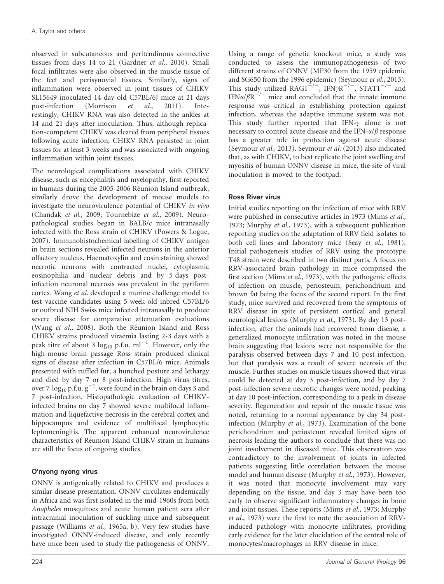observed in subcutaneous and peritendinous connective tissues from days 14 to 21 (Gardner et al., 2010). Small focal infiltrates were also observed in the muscle tissue of the feet and perisynovial tissues. Similarly, signs of inflammation were observed in joint tissues of CHIKV SL15649-inoculated 14-day-old C57BL/6J mice at 21 days post-infection (Morrison et al., 2011). Interestingly, CHIKV RNA was also detected in the ankles at 14 and 21 days after inoculation. Thus, although replication-competent CHIKV was cleared from peripheral tissues following acute infection, CHIKV RNA persisted in joint tissues for at least 3 weeks and was associated with ongoing inflammation within joint tissues.

The neurological complications associated with CHIKV disease, such as encephalitis and myelopathy, first reported in humans during the 2005-2006 Réunion Island outbreak, similarly drove the development of mouse models to investigate the neurovirulence potential of CHIKV in vivo (Chandak et al., 2009; Tournebize et al., 2009). Neuropathological studies began in BALB/c mice intranasally infected with the Ross strain of CHIKV (Powers & Logue, 2007). Immunohistochemical labelling of CHIKV antigen in brain sections revealed infected neurons in the anterior olfactory nucleus. Haematoxylin and eosin staining showed necrotic neurons with contracted nuclei, cytoplasmic eosinophilia and nuclear debris and by 5 days postinfection neuronal necrosis was prevalent in the pyriform cortex. Wang et al. developed a murine challenge model to test vaccine candidates using 5-week-old inbred C57BL/6 or outbred NIH Swiss mice infected intranasally to produce severe disease for comparative attenuation evaluations (Wang et al., 2008). Both the Réunion Island and Ross CHIKV strains produced viraemia lasting 2-3 days with a peak titre of about 3  $log_{10}$  p.f.u. ml<sup>-1</sup>. However, only the high-mouse brain passage Ross strain produced clinical signs of disease after infection in C57BL/6 mice. Animals presented with ruffled fur, a hunched posture and lethargy and died by day 7 or 8 post-infection. High virus titres, over 7  $\log_{10}$  p.f.u.  $g^{-1}$ , were found in the brain on days 3 and 7 post-infection. Histopathologic evaluation of CHIKVinfected brains on day 7 showed severe multifocal inflammation and liquefactive necrosis in the cerebral cortex and hippocampus and evidence of multifocal lymphocytic leptomeningitis. The apparent enhanced neurovirulence characteristics of Réunion Island CHIKV strain in humans are still the focus of ongoing studies.

# O'nyong nyong virus

ONNV is antigenically related to CHIKV and produces a similar disease presentation. ONNV circulates endemically in Africa and was first isolated in the mid-1960s from both Anopheles mosquitoes and acute human patient sera after intracranial inoculation of suckling mice and subsequent passage (Williams et al., 1965a, b). Very few studies have investigated ONNV-induced disease, and only recently have mice been used to study the pathogenesis of ONNV.

Using a range of genetic knockout mice, a study was conducted to assess the immunopathogenesis of two different strains of ONNV (MP30 from the 1959 epidemic and SG650 from the 1996 epidemic) (Seymour et al., 2013). This study utilized RAG1<sup>-1-</sup>, IFN<sub>7</sub>R<sup>-1-</sup>, STAT1<sup>-1-</sup> and IFN $\alpha/\beta R^{-1}$  mice and concluded that the innate immune response was critical in establishing protection against infection, whereas the adaptive immune system was not. This study further reported that IFN- $\gamma$  alone is not necessary to control acute disease and the IFN- $\alpha/\beta$  response has a greater role in protection against acute disease (Seymour et al., 2013). Seymour et al. (2013) also indicated that, as with CHIKV, to best replicate the joint swelling and myositis of human ONNV disease in mice, the site of viral inoculation is moved to the footpad.

# Ross River virus

Initial studies reporting on the infection of mice with RRV were published in consecutive articles in 1973 (Mims et al., 1973; Murphy et al., 1973), with a subsequent publication reporting studies on the adaptation of RRV field isolates to both cell lines and laboratory mice (Seay et al., 1981). Initial pathogenesis studies of RRV using the prototype T48 strain were described in two distinct parts. A focus on RRV-associated brain pathology in mice comprised the first section (Mims et al., 1973), with the pathogenic effects of infection on muscle, periosteum, perichondrium and brown fat being the focus of the second report. In the first study, mice survived and recovered from the symptoms of RRV disease in spite of persistent cortical and general neurological lesions (Murphy et al., 1973). By day 13 postinfection, after the animals had recovered from disease, a generalized monocyte infiltration was noted in the mouse brain suggesting that lesions were not responsible for the paralysis observed between days 7 and 10 post-infection, but that paralysis was a result of severe necrosis of the muscle. Further studies on muscle tissues showed that virus could be detected at day 3 post-infection, and by day 7 post-infection severe necrotic changes were noted, peaking at day 10 post-infection, corresponding to a peak in disease severity. Regeneration and repair of the muscle tissue was noted, returning to a normal appearance by day 34 postinfection (Murphy et al., 1973). Examination of the bone perichondrium and periosteum revealed limited signs of necrosis leading the authors to conclude that there was no joint involvement in diseased mice. This observation was contradictory to the involvement of joints in infected patients suggesting little correlation between the mouse model and human disease (Murphy et al., 1973). However, it was noted that monocyte involvement may vary depending on the tissue, and day 3 may have been too early to observe significant inflammatory changes in bone and joint tissues. These reports (Mims et al., 1973; Murphy et al., 1973) were the first to note the association of RRVinduced pathology with monocyte infiltrates, providing early evidence for the later elucidation of the central role of monocytes/macrophages in RRV disease in mice.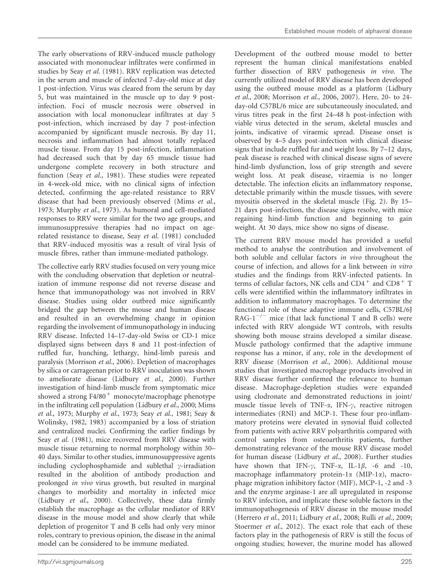The early observations of RRV-induced muscle pathology associated with mononuclear infiltrates were confirmed in studies by Seay et al. (1981). RRV replication was detected in the serum and muscle of infected 7-day-old mice at day 1 post-infection. Virus was cleared from the serum by day 5, but was maintained in the muscle up to day 9 postinfection. Foci of muscle necrosis were observed in association with local mononuclear infiltrates at day 5 post-infection, which increased by day 7 post-infection accompanied by significant muscle necrosis. By day 11, necrosis and inflammation had almost totally replaced muscle tissue. From day 15 post-infection, inflammation had decreased such that by day 65 muscle tissue had undergone complete recovery in both structure and function (Seay et al., 1981). These studies were repeated in 4-week-old mice, with no clinical signs of infection detected, confirming the age-related resistance to RRV disease that had been previously observed (Mims et al., 1973; Murphy et al., 1973). As humoral and cell-mediated responses to RRV were similar for the two age groups, and immunosuppressive therapies had no impact on agerelated resistance to disease, Seay et al. (1981) concluded that RRV-induced myositis was a result of viral lysis of

muscle fibres, rather than immune-mediated pathology.

The collective early RRV studies focused on very young mice with the concluding observation that depletion or neutralization of immune response did not reverse disease and hence that immunopathology was not involved in RRV disease. Studies using older outbred mice significantly bridged the gap between the mouse and human disease and resulted in an overwhelming change in opinion regarding the involvement of immunopathology in inducing RRV disease. Infected 14–17-day-old Swiss or CD-1 mice displayed signs between days 8 and 11 post-infection of ruffled fur, hunching, lethargy, hind-limb paresis and paralysis (Morrison et al., 2006). Depletion of macrophages by silica or carrageenan prior to RRV inoculation was shown to ameliorate disease (Lidbury et al., 2000). Further investigation of hind-limb muscle from symptomatic mice showed a strong  $F4/80^+$  monocyte/macrophage phenotype in the infiltrating cell population (Lidbury et al., 2000; Mims et al., 1973; Murphy et al., 1973; Seay et al., 1981; Seay & Wolinsky, 1982, 1983) accompanied by a loss of striation and centralized nuclei. Confirming the earlier findings by Seay et al. (1981), mice recovered from RRV disease with muscle tissue returning to normal morphology within 30– 40 days. Similar to other studies, immunosuppressive agents including cyclophosphamide and sublethal  $\gamma$ -irradiation resulted in the abolition of antibody production and prolonged in vivo virus growth, but resulted in marginal changes to morbidity and mortality in infected mice (Lidbury et al., 2000). Collectively, these data firmly establish the macrophage as the cellular mediator of RRV disease in the mouse model and show clearly that while depletion of progenitor T and B cells had only very minor roles, contrary to previous opinion, the disease in the animal model can be considered to be immune mediated.

Development of the outbred mouse model to better represent the human clinical manifestations enabled further dissection of RRV pathogenesis in vivo. The currently utilized model of RRV disease has been developed using the outbred mouse model as a platform (Lidbury et al., 2008; Morrison et al., 2006, 2007). Here, 20- to 24 day-old C57BL/6 mice are subcutaneously inoculated, and virus titres peak in the first 24–48 h post-infection with viable virus detected in the serum, skeletal muscles and joints, indicative of viraemic spread. Disease onset is observed by 4–5 days post-infection with clinical disease signs that include ruffled fur and weight loss. By 7–12 days, peak disease is reached with clinical disease signs of severe hind-limb dysfunction, loss of grip strength and severe weight loss. At peak disease, viraemia is no longer detectable. The infection elicits an inflammatory response, detectable primarily within the muscle tissues, with severe myositis observed in the skeletal muscle (Fig. 2). By 15– 21 days post-infection, the disease signs resolve, with mice regaining hind-limb function and beginning to gain weight. At 30 days, mice show no signs of disease.

The current RRV mouse model has provided a useful method to analyse the contribution and involvement of both soluble and cellular factors in vivo throughout the course of infection, and allows for a link between in vitro studies and the findings from RRV-infected patients. In terms of cellular factors, NK cells and  $CD4^+$  and  $CD8^+$  T cells were identified within the inflammatory infiltrates in addition to inflammatory macrophages. To determine the functional role of these adaptive immune cells, C57BL/6J RAG-1<sup>-/-</sup> mice (that lack functional T and B cells) were infected with RRV alongside WT controls, with results showing both mouse strains developed a similar disease. Muscle pathology confirmed that the adaptive immune response has a minor, if any, role in the development of RRV disease (Morrison et al., 2006). Additional mouse studies that investigated macrophage products involved in RRV disease further confirmed the relevance to human disease. Macrophage-depletion studies were expanded using clodronate and demonstrated reductions in joint/ muscle tissue levels of TNF- $\alpha$ , IFN- $\gamma$ , reactive nitrogen intermediates (RNI) and MCP-1. These four pro-inflammatory proteins were elevated in synovial fluid collected from patients with active RRV polyarthritis compared with control samples from osteoarthritis patients, further demonstrating relevance of the mouse RRV disease model for human disease (Lidbury et al., 2008). Further studies have shown that IFN- $\gamma$ , TNF- $\alpha$ , IL-1 $\beta$ , -6 and -10, macrophage inflammatory protein-1 $\alpha$  (MIP-1 $\alpha$ ), macrophage migration inhibitory factor (MIF), MCP-1, -2 and -3 and the enzyme arginase-1 are all upregulated in response to RRV infection, and implicate these soluble factors in the immunopathogenesis of RRV disease in the mouse model (Herrero et al., 2011; Lidbury et al., 2008; Rulli et al., 2009; Stoermer et al., 2012). The exact role that each of these factors play in the pathogenesis of RRV is still the focus of ongoing studies; however, the murine model has allowed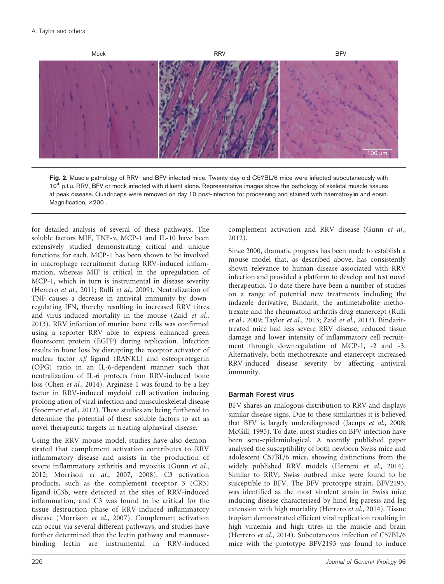

Fig. 2. Muscle pathology of RRV- and BFV-infected mice. Twenty-day-old C57BL/6 mice were infected subcutaneously with 10<sup>4</sup> p.f.u. RRV, BFV or mock infected with diluent alone. Representative images show the pathology of skeletal muscle tissues at peak disease. Quadriceps were removed on day 10 post-infection for processing and stained with haematoxylin and eosin. Magnification, ×200.

for detailed analysis of several of these pathways. The soluble factors MIF, TNF- $\alpha$ , MCP-1 and IL-10 have been extensively studied demonstrating critical and unique functions for each. MCP-1 has been shown to be involved in macrophage recruitment during RRV-induced inflammation, whereas MIF is critical in the upregulation of MCP-1, which in turn is instrumental in disease severity (Herrero et al., 2011; Rulli et al., 2009). Neutralization of TNF causes a decrease in antiviral immunity by downregulating IFN, thereby resulting in increased RRV titres and virus-induced mortality in the mouse (Zaid et al., 2013). RRV infection of murine bone cells was confirmed using a reporter RRV able to express enhanced green fluorescent protein (EGFP) during replication. Infection results in bone loss by disrupting the receptor activator of nuclear factor  $\kappa\beta$  ligand (RANKL) and osteoprotegerin (OPG) ratio in an IL-6-dependent manner such that neutralization of IL-6 protects from RRV-induced bone loss (Chen et al., 2014). Arginase-1 was found to be a key factor in RRV-induced myeloid cell activation inducing prolong ation of viral infection and musculoskeletal disease (Stoermer et al., 2012). These studies are being furthered to determine the potential of these soluble factors to act as novel therapeutic targets in treating alphaviral disease.

Using the RRV mouse model, studies have also demonstrated that complement activation contributes to RRV inflammatory disease and assists in the production of severe inflammatory arthritis and myositis (Gunn et al., 2012; Morrison et al., 2007, 2008). C3 activation products, such as the complement receptor 3 (CR3) ligand iC3b, were detected at the sites of RRV-induced inflammation, and C3 was found to be critical for the tissue destruction phase of RRV-induced inflammatory disease (Morrison et al., 2007). Complement activation can occur via several different pathways, and studies have further determined that the lectin pathway and mannosebinding lectin are instrumental in RRV-induced

complement activation and RRV disease (Gunn et al., 2012).

Since 2000, dramatic progress has been made to establish a mouse model that, as described above, has consistently shown relevance to human disease associated with RRV infection and provided a platform to develop and test novel therapeutics. To date there have been a number of studies on a range of potential new treatments including the indazole derivative, Bindarit, the antimetabolite methotrexate and the rheumatoid arthritis drug etanercept (Rulli et al., 2009; Taylor et al., 2013; Zaid et al., 2013). Bindarittreated mice had less severe RRV disease, reduced tissue damage and lower intensity of inflammatory cell recruitment through downregulation of MCP-1, -2 and -3. Alternatively, both methotrexate and etanercept increased RRV-induced disease severity by affecting antiviral immunity.

### Barmah Forest virus

BFV shares an analogous distribution to RRV and displays similar disease signs. Due to these similarities it is believed that BFV is largely underdiagnosed (Jacups et al., 2008; McGill, 1995). To date, most studies on BFV infection have been sero-epidemiological. A recently published paper analysed the susceptibility of both newborn Swiss mice and adolescent C57BL/6 mice, showing distinctions from the widely published RRV models (Herrero et al., 2014). Similar to RRV, Swiss outbred mice were found to be susceptible to BFV. The BFV prototype strain, BFV2193, was identified as the most virulent strain in Swiss mice inducing disease characterized by hind-leg paresis and leg extension with high mortality (Herrero et al., 2014). Tissue tropism demonstrated efficient viral replication resulting in high viraemia and high titres in the muscle and brain (Herrero et al., 2014). Subcutaneous infection of C57BL/6 mice with the prototype BFV2193 was found to induce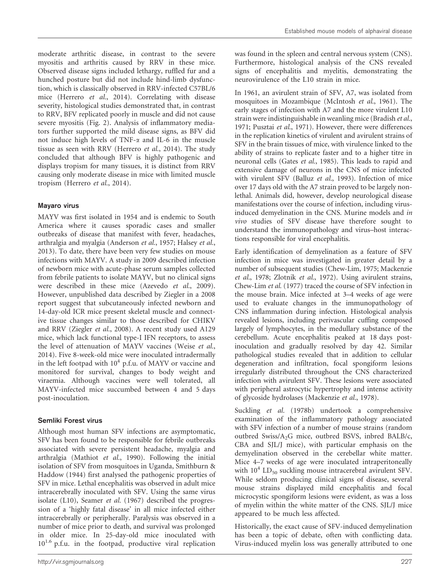moderate arthritic disease, in contrast to the severe myositis and arthritis caused by RRV in these mice. Observed disease signs included lethargy, ruffled fur and a hunched posture but did not include hind-limb dysfunction, which is classically observed in RRV-infected C57BL/6 mice (Herrero et al., 2014). Correlating with disease severity, histological studies demonstrated that, in contrast to RRV, BFV replicated poorly in muscle and did not cause severe myositis (Fig. 2). Analysis of inflammatory mediators further supported the mild disease signs, as BFV did not induce high levels of TNF- $\alpha$  and IL-6 in the muscle tissue as seen with RRV (Herrero et al., 2014). The study concluded that although BFV is highly pathogenic and displays tropism for many tissues, it is distinct from RRV causing only moderate disease in mice with limited muscle tropism (Herrero et al., 2014).

# Mayaro virus

MAYV was first isolated in 1954 and is endemic to South America where it causes sporadic cases and smaller outbreaks of disease that manifest with fever, headaches, arthralgia and myalgia (Anderson et al., 1957; Halsey et al., 2013). To date, there have been very few studies on mouse infections with MAYV. A study in 2009 described infection of newborn mice with acute-phase serum samples collected from febrile patients to isolate MAYV, but no clinical signs were described in these mice (Azevedo et al., 2009). However, unpublished data described by Ziegler in a 2008 report suggest that subcutaneously infected newborn and 14-day-old ICR mice present skeletal muscle and connective tissue changes similar to those described for CHIKV and RRV (Ziegler et al., 2008). A recent study used A129 mice, which lack functional type-I IFN receptors, to assess the level of attenuation of MAYV vaccines (Weise et al., 2014). Five 8-week-old mice were inoculated intradermally in the left footpad with  $10^4$  p.f.u. of MAYV or vaccine and monitored for survival, changes to body weight and viraemia. Although vaccines were well tolerated, all MAYV-infected mice succumbed between 4 and 5 days post-inoculation.

# Semliki Forest virus

Although most human SFV infections are asymptomatic, SFV has been found to be responsible for febrile outbreaks associated with severe persistent headache, myalgia and arthralgia (Mathiot et al., 1990). Following the initial isolation of SFV from mosquitoes in Uganda, Smithburn & Haddow (1944) first analysed the pathogenic properties of SFV in mice. Lethal encephalitis was observed in adult mice intracerebrally inoculated with SFV. Using the same virus isolate (L10), Seamer et al. (1967) described the progression of a 'highly fatal disease' in all mice infected either intracerebrally or peripherally. Paralysis was observed in a number of mice prior to death, and survival was prolonged in older mice. In 25-day-old mice inoculated with  $10^{1.6}$  p.f.u. in the footpad, productive viral replication

was found in the spleen and central nervous system (CNS). Furthermore, histological analysis of the CNS revealed signs of encephalitis and myelitis, demonstrating the neurovirulence of the L10 strain in mice.

In 1961, an avirulent strain of SFV, A7, was isolated from mosquitoes in Mozambique (McIntosh et al., 1961). The early stages of infection with A7 and the more virulent L10 strain were indistinguishable in weanling mice (Bradish et al., 1971; Pusztai et al., 1971). However, there were differences in the replication kinetics of virulent and avirulent strains of SFV in the brain tissues of mice, with virulence linked to the ability of strains to replicate faster and to a higher titre in neuronal cells (Gates et al., 1985). This leads to rapid and extensive damage of neurons in the CNS of mice infected with virulent SFV (Balluz et al., 1993). Infection of mice over 17 days old with the A7 strain proved to be largely nonlethal. Animals did, however, develop neurological disease manifestations over the course of infection, including virusinduced demyelination in the CNS. Murine models and in vivo studies of SFV disease have therefore sought to understand the immunopathology and virus–host interactions responsible for viral encephalitis.

Early identification of demyelination as a feature of SFV infection in mice was investigated in greater detail by a number of subsequent studies (Chew-Lim, 1975; Mackenzie et al., 1978; Zlotnik et al., 1972). Using avirulent strains, Chew-Lim et al. (1977) traced the course of SFV infection in the mouse brain. Mice infected at 3–4 weeks of age were used to evaluate changes in the immunopathology of CNS inflammation during infection. Histological analysis revealed lesions, including perivascular cuffing composed largely of lymphocytes, in the medullary substance of the cerebellum. Acute encephalitis peaked at 18 days postinoculation and gradually resolved by day 42. Similar pathological studies revealed that in addition to cellular degeneration and infiltration, focal spongiform lesions irregularly distributed throughout the CNS characterized infection with avirulent SFV. These lesions were associated with peripheral astrocytic hypertrophy and intense activity of glycoside hydrolases (Mackenzie et al., 1978).

Suckling et al. (1978b) undertook a comprehensive examination of the inflammatory pathology associated with SFV infection of a number of mouse strains (random outbred Swiss/A2G mice, outbred BSVS, inbred BALB/c, CBA and SJL/J mice), with particular emphasis on the demyelination observed in the cerebellar white matter. Mice 4–7 weeks of age were inoculated intraperitoneally with  $10^4$  LD<sub>50</sub> suckling mouse intracerebral avirulent SFV. While seldom producing clinical signs of disease, several mouse strains displayed mild encephalitis and focal microcystic spongiform lesions were evident, as was a loss of myelin within the white matter of the CNS. SJL/J mice appeared to be much less affected.

Historically, the exact cause of SFV-induced demyelination has been a topic of debate, often with conflicting data. Virus-induced myelin loss was generally attributed to one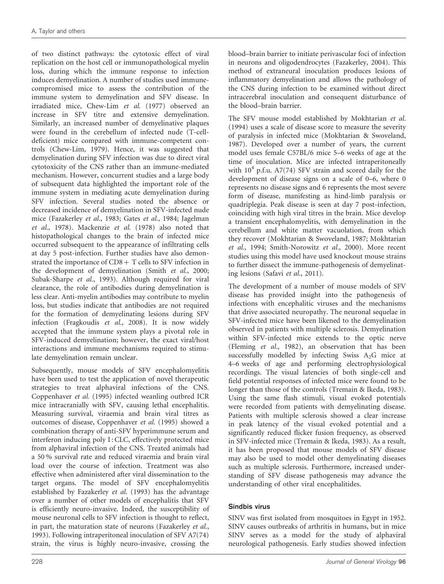of two distinct pathways: the cytotoxic effect of viral replication on the host cell or immunopathological myelin loss, during which the immune response to infection induces demyelination. A number of studies used immunecompromised mice to assess the contribution of the immune system to demyelination and SFV disease. In irradiated mice, Chew-Lim et al. (1977) observed an increase in SFV titre and extensive demyelination. Similarly, an increased number of demyelinative plaques were found in the cerebellum of infected nude (T-celldeficient) mice compared with immune-competent controls (Chew-Lim, 1979). Hence, it was suggested that demyelination during SFV infection was due to direct viral cytotoxicity of the CNS rather than an immune-mediated mechanism. However, concurrent studies and a large body of subsequent data highlighted the important role of the immune system in mediating acute demyelination during SFV infection. Several studies noted the absence or decreased incidence of demyelination in SFV-infected nude mice (Fazakerley et al., 1983; Gates et al., 1984; Jagelman et al., 1978). Mackenzie et al. (1978) also noted that histopathological changes to the brain of infected mice occurred subsequent to the appearance of infiltrating cells at day 5 post-infection. Further studies have also demonstrated the importance of CD8+ T cells to SFV infection in the development of demyelination (Smith et al., 2000; Subak-Sharpe et al., 1993). Although required for viral clearance, the role of antibodies during demyelination is less clear. Anti-myelin antibodies may contribute to myelin loss, but studies indicate that antibodies are not required for the formation of demyelinating lesions during SFV infection (Fragkoudis et al., 2008). It is now widely accepted that the immune system plays a pivotal role in SFV-induced demyelination; however, the exact viral/host interactions and immune mechanisms required to stimulate demyelination remain unclear.

Subsequently, mouse models of SFV encephalomyelitis have been used to test the application of novel therapeutic strategies to treat alphaviral infections of the CNS. Coppenhaver et al. (1995) infected weanling outbred ICR mice intracranially with SFV, causing lethal encephalitis. Measuring survival, viraemia and brain viral titres as outcomes of disease, Coppenhaver et al. (1995) showed a combination therapy of anti-SFV hyperimmune serum and interferon inducing poly I : CLC, effectively protected mice from alphaviral infection of the CNS. Treated animals had a 50 % survival rate and reduced viraemia and brain viral load over the course of infection. Treatment was also effective when administered after viral dissemination to the target organs. The model of SFV encephalomyelitis established by Fazakerley et al. (1993) has the advantage over a number of other models of encephalitis that SFV is efficiently neuro-invasive. Indeed, the susceptibility of mouse neuronal cells to SFV infection is thought to reflect, in part, the maturation state of neurons (Fazakerley et al., 1993). Following intraperitoneal inoculation of SFV A7(74) strain, the virus is highly neuro-invasive, crossing the

blood–brain barrier to initiate perivascular foci of infection in neurons and oligodendrocytes (Fazakerley, 2004). This method of extraneural inoculation produces lesions of inflammatory demyelination and allows the pathology of the CNS during infection to be examined without direct intracerebral inoculation and consequent disturbance of the blood–brain barrier.

The SFV mouse model established by Mokhtarian et al. (1994) uses a scale of disease score to measure the severity of paralysis in infected mice (Mokhtarian & Swoveland, 1987). Developed over a number of years, the current model uses female C57BL/6 mice 5–6 weeks of age at the time of inoculation. Mice are infected intraperitoneally with 10<sup>4</sup> p.f.u. A7(74) SFV strain and scored daily for the development of disease signs on a scale of 0–6, where 0 represents no disease signs and 6 represents the most severe form of disease, manifesting as hind-limb paralysis or quadriplegia. Peak disease is seen at day 7 post-infection, coinciding with high viral titres in the brain. Mice develop a transient encephalomyelitis, with demyelination in the cerebellum and white matter vacuolation, from which they recover (Mokhtarian & Swoveland, 1987; Mokhtarian et al., 1994; Smith-Norowitz et al., 2000). More recent studies using this model have used knockout mouse strains to further dissect the immune-pathogenesis of demyelinating lesions (Safavi et al., 2011).

The development of a number of mouse models of SFV disease has provided insight into the pathogenesis of infections with encephalitic viruses and the mechanisms that drive associated neuropathy. The neuronal sequelae in SFV-infected mice have been likened to the demyelination observed in patients with multiple sclerosis. Demyelination within SFV-infected mice extends to the optic nerve (Fleming et al., 1982), an observation that has been successfully modelled by infecting Swiss A2G mice at 4–6 weeks of age and performing electrophysiological recordings. The visual latencies of both single-cell and field potential responses of infected mice were found to be longer than those of the controls (Tremain & Ikeda, 1983). Using the same flash stimuli, visual evoked potentials were recorded from patients with demyelinating disease. Patients with multiple sclerosis showed a clear increase in peak latency of the visual evoked potential and a significantly reduced flicker fusion frequency, as observed in SFV-infected mice (Tremain & Ikeda, 1983). As a result, it has been proposed that mouse models of SFV disease may also be used to model other demyelinating diseases such as multiple sclerosis. Furthermore, increased understanding of SFV disease pathogenesis may advance the understanding of other viral encephalitides.

### Sindbis virus

SINV was first isolated from mosquitoes in Egypt in 1952. SINV causes outbreaks of arthritis in humans, but in mice SINV serves as a model for the study of alphaviral neurological pathogenesis. Early studies showed infection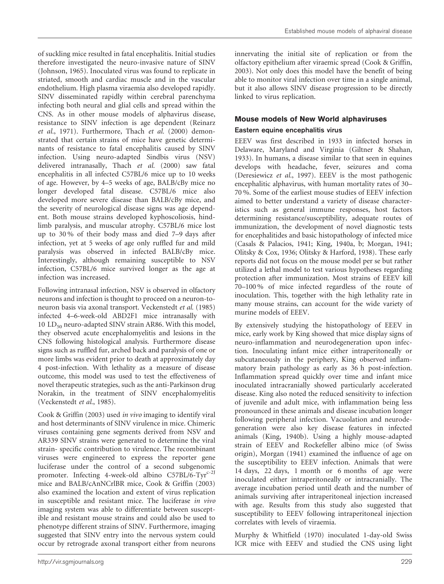of suckling mice resulted in fatal encephalitis. Initial studies therefore investigated the neuro-invasive nature of SINV (Johnson, 1965). Inoculated virus was found to replicate in striated, smooth and cardiac muscle and in the vascular endothelium. High plasma viraemia also developed rapidly. SINV disseminated rapidly within cerebral parenchyma infecting both neural and glial cells and spread within the CNS. As in other mouse models of alphavirus disease, resistance to SINV infection is age dependent (Reinarz et al., 1971). Furthermore, Thach et al. (2000) demonstrated that certain strains of mice have genetic determinants of resistance to fatal encephalitis caused by SINV infection. Using neuro-adapted Sindbis virus (NSV) delivered intranasally, Thach et al. (2000) saw fatal encephalitis in all infected C57BL/6 mice up to 10 weeks of age. However, by 4–5 weeks of age, BALB/cBy mice no longer developed fatal disease. C57BL/6 mice also developed more severe disease than BALB/cBy mice, and the severity of neurological disease signs was age dependent. Both mouse strains developed kyphoscoliosis, hindlimb paralysis, and muscular atrophy. C57BL/6 mice lost up to 30 % of their body mass and died 7–9 days after infection, yet at 5 weeks of age only ruffled fur and mild paralysis was observed in infected BALB/cBy mice. Interestingly, although remaining susceptible to NSV infection, C57BL/6 mice survived longer as the age at infection was increased.

Following intranasal infection, NSV is observed in olfactory neurons and infection is thought to proceed on a neuron-toneuron basis via axonal transport. Veckenstedt et al. (1985) infected 4–6-week-old ABD2F1 mice intranasally with 10  $LD_{50}$  neuro-adapted SINV strain AR86. With this model, they observed acute encephalomyelitis and lesions in the CNS following histological analysis. Furthermore disease signs such as ruffled fur, arched back and paralysis of one or more limbs was evident prior to death at approximately day 4 post-infection. With lethality as a measure of disease outcome, this model was used to test the effectiveness of novel therapeutic strategies, such as the anti-Parkinson drug Norakin, in the treatment of SINV encephalomyelitis (Veckenstedt et al., 1985).

Cook & Griffin (2003) used in vivo imaging to identify viral and host determinants of SINV virulence in mice. Chimeric viruses containing gene segments derived from NSV and AR339 SINV strains were generated to determine the viral strain- specific contribution to virulence. The recombinant viruses were engineered to express the reporter gene luciferase under the control of a second subgenomic promoter. Infecting 4-week-old albino C57BL/6-Tyr<sup>c-2J</sup> mice and BALB/cAnNCrlBR mice, Cook & Griffin (2003) also examined the location and extent of virus replication in susceptible and resistant mice. The luciferase in vivo imaging system was able to differentiate between susceptible and resistant mouse strains and could also be used to phenotype different strains of SINV. Furthermore, imaging suggested that SINV entry into the nervous system could occur by retrograde axonal transport either from neurons

innervating the initial site of replication or from the olfactory epithelium after viraemic spread (Cook & Griffin, 2003). Not only does this model have the benefit of being able to monitor viral infection over time in a single animal, but it also allows SINV disease progression to be directly linked to virus replication.

# Mouse models of New World alphaviruses

# Eastern equine encephalitis virus

EEEV was first described in 1933 in infected horses in Delaware, Maryland and Virginia (Giltner & Shahan, 1933). In humans, a disease similar to that seen in equines develops with headache, fever, seizures and coma (Deresiewicz et al., 1997). EEEV is the most pathogenic encephalitic alphavirus, with human mortality rates of 30– 70 %. Some of the earliest mouse studies of EEEV infection aimed to better understand a variety of disease characteristics such as general immune responses, host factors determining resistance/susceptibility, adequate routes of immunization, the development of novel diagnostic tests for encephalitides and basic histopathology of infected mice (Casals & Palacios, 1941; King, 1940a, b; Morgan, 1941; Olitsky & Cox, 1936; Olitsky & Harford, 1938). These early reports did not focus on the mouse model per se but rather utilized a lethal model to test various hypotheses regarding protection after immunization. Most strains of EEEV kill 70–100 % of mice infected regardless of the route of inoculation. This, together with the high lethality rate in many mouse strains, can account for the wide variety of murine models of EEEV.

By extensively studying the histopathology of EEEV in mice, early work by King showed that mice display signs of neuro-inflammation and neurodegeneration upon infection. Inoculating infant mice either intraperitoneally or subcutaneously in the periphery, King observed inflammatory brain pathology as early as 36 h post-infection. Inflammation spread quickly over time and infant mice inoculated intracranially showed particularly accelerated disease. King also noted the reduced sensitivity to infection of juvenile and adult mice, with inflammation being less pronounced in these animals and disease incubation longer following peripheral infection. Vacuolation and neurodegeneration were also key disease features in infected animals (King, 1940b). Using a highly mouse-adapted strain of EEEV and Rockefeller albino mice (of Swiss origin), Morgan (1941) examined the influence of age on the susceptibility to EEEV infection. Animals that were 14 days, 22 days, 1 month or 6 months of age were inoculated either intraperitoneally or intracranially. The average incubation period until death and the number of animals surviving after intraperitoneal injection increased with age. Results from this study also suggested that susceptibility to EEEV following intraperitoneal injection correlates with levels of viraemia.

Murphy & Whitfield (1970) inoculated 1-day-old Swiss ICR mice with EEEV and studied the CNS using light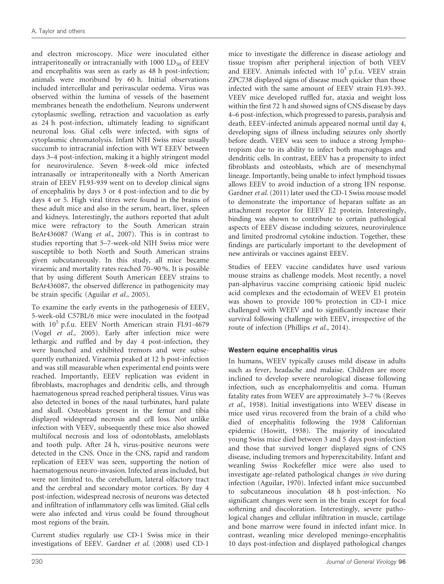and electron microscopy. Mice were inoculated either intraperitoneally or intracranially with  $1000$   $LD_{50}$  of  $EEV$ and encephalitis was seen as early as 48 h post-infection; animals were moribund by 60 h. Initial observations included intercellular and perivascular oedema. Virus was observed within the lumina of vessels of the basement membranes beneath the endothelium. Neurons underwent cytoplasmic swelling, retraction and vacuolation as early as 24 h post-infection, ultimately leading to significant neuronal loss. Glial cells were infected, with signs of cytoplasmic chromatolysis. Infant NIH Swiss mice usually succumb to intracranial infection with WT EEEV between days 3–4 post-infection, making it a highly stringent model for neurovirulence. Seven 8-week-old mice infected intranasally or intraperitoneally with a North American strain of EEEV FL93-939 went on to develop clinical signs of encephalitis by days 3 or 4 post-infection and to die by days 4 or 5. High viral titres were found in the brains of these adult mice and also in the serum, heart, liver, spleen and kidneys. Interestingly, the authors reported that adult mice were refractory to the South American strain BeAr436087 (Wang et al., 2007). This is in contrast to studies reporting that 5–7-week-old NIH Swiss mice were susceptible to both North and South American strains given subcutaneously. In this study, all mice became viraemic and mortality rates reached 70–90 %. It is possible that by using different South American EEEV strains to BeAr436087, the observed difference in pathogenicity may be strain specific (Aguilar et al., 2005).

To examine the early events in the pathogenesis of EEEV, 5-week-old C57BL/6 mice were inoculated in the footpad with 10<sup>5</sup> p.f.u. EEEV North American strain FL91-4679 (Vogel et al., 2005). Early after infection mice were lethargic and ruffled and by day 4 post-infection, they were hunched and exhibited tremors and were subsequently euthanized. Viraemia peaked at 12 h post-infection and was still measurable when experimental end points were reached. Importantly, EEEV replication was evident in fibroblasts, macrophages and dendritic cells, and through haematogenous spread reached peripheral tissues. Virus was also detected in bones of the nasal turbinates, hard palate and skull. Osteoblasts present in the femur and tibia displayed widespread necrosis and cell loss. Not unlike infection with VEEV, subsequently these mice also showed multifocal necrosis and loss of odontoblasts, ameloblasts and tooth pulp. After 24 h, virus-positive neurons were detected in the CNS. Once in the CNS, rapid and random replication of EEEV was seen, supporting the notion of haematogenous neuro-invasion. Infected areas included, but were not limited to, the cerebellum, lateral olfactory tract and the cerebral and secondary motor cortices. By day 4 post-infection, widespread necrosis of neurons was detected and infiltration of inflammatory cells was limited. Glial cells were also infected and virus could be found throughout most regions of the brain.

Current studies regularly use CD-1 Swiss mice in their investigations of EEEV. Gardner et al. (2008) used CD-1

mice to investigate the difference in disease aetiology and tissue tropism after peripheral injection of both VEEV and EEEV. Animals infected with  $10^3$  p.f.u. VEEV strain ZPC738 displayed signs of disease much quicker than those infected with the same amount of EEEV strain FL93-393. VEEV mice developed ruffled fur, ataxia and weight loss within the first 72 h and showed signs of CNS disease by days 4–6 post-infection, which progressed to paresis, paralysis and death. EEEV-infected animals appeared normal until day 4, developing signs of illness including seizures only shortly before death. VEEV was seen to induce a strong lymphotropism due to its ability to infect both macrophages and dendritic cells. In contrast, EEEV has a propensity to infect fibroblasts and osteoblasts, which are of mesenchymal lineage. Importantly, being unable to infect lymphoid tissues allows EEEV to avoid induction of a strong IFN response. Gardner et al. (2011) later used the CD-1 Swiss mouse model to demonstrate the importance of heparan sulfate as an attachment receptor for EEEV E2 protein. Interestingly, binding was shown to contribute to certain pathological aspects of EEEV disease including seizures, neurovirulence and limited prodromal cytokine induction. Together, these findings are particularly important to the development of new antivirals or vaccines against EEEV.

Studies of EEEV vaccine candidates have used various mouse strains as challenge models. Most recently, a novel pan-alphavirus vaccine comprising cationic lipid nucleic acid complexes and the ectodomain of WEEV E1 protein was shown to provide 100 % protection in CD-1 mice challenged with WEEV and to significantly increase their survival following challenge with EEEV, irrespective of the route of infection (Phillips et al., 2014).

# Western equine encephalitis virus

In humans, WEEV typically causes mild disease in adults such as fever, headache and malaise. Children are more inclined to develop severe neurological disease following infection, such as encephalomyelitis and coma. Human fatality rates from WEEV are approximately 3–7 % (Reeves et al., 1958). Initial investigations into WEEV disease in mice used virus recovered from the brain of a child who died of encephalitis following the 1938 Californian epidemic (Howitt, 1938). The majority of inoculated young Swiss mice died between 3 and 5 days post-infection and those that survived longer displayed signs of CNS disease, including tremors and hyperexcitability. Infant and weanling Swiss Rockefeller mice were also used to investigate age-related pathological changes in vivo during infection (Aguilar, 1970). Infected infant mice succumbed to subcutaneous inoculation 48 h post-infection. No significant changes were seen in the brain except for focal softening and discoloration. Interestingly, severe pathological changes and cellular infiltration in muscle, cartilage and bone marrow were found in infected infant mice. In contrast, weanling mice developed meningo-encephalitis 10 days post-infection and displayed pathological changes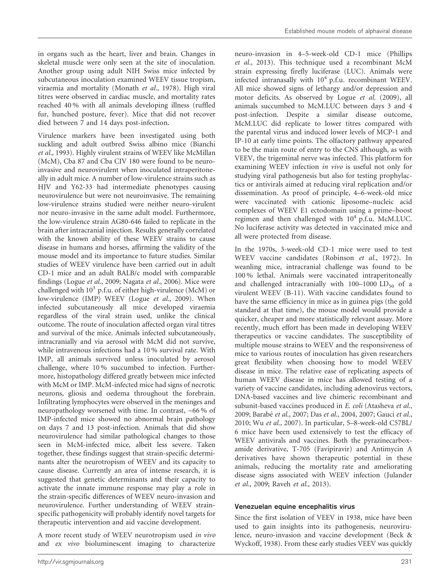in organs such as the heart, liver and brain. Changes in skeletal muscle were only seen at the site of inoculation. Another group using adult NIH Swiss mice infected by subcutaneous inoculation examined WEEV tissue tropism, viraemia and mortality (Monath et al., 1978). High viral titres were observed in cardiac muscle, and mortality rates reached 40 % with all animals developing illness (ruffled fur, hunched posture, fever). Mice that did not recover died between 7 and 14 days post-infection.

Virulence markers have been investigated using both suckling and adult outbred Swiss albino mice (Bianchi et al., 1993). Highly virulent strains of WEEV like McMillan (McM), Cba 87 and Cba CIV 180 were found to be neuroinvasive and neurovirulent when inoculated intraperitoneally in adult mice. A number of low-virulence strains such as HJV and Y62-33 had intermediate phenotypes causing neurovirulence but were not neuroinvasive. The remaining low-virulence strains studied were neither neuro-virulent nor neuro-invasive in the same adult model. Furthermore, the low-virulence strain AG80-646 failed to replicate in the brain after intracranial injection. Results generally correlated with the known ability of these WEEV strains to cause disease in humans and horses, affirming the validity of the mouse model and its importance to future studies. Similar studies of WEEV virulence have been carried out in adult CD-1 mice and an adult BALB/c model with comparable findings (Logue et al., 2009; Nagata et al., 2006). Mice were challenged with 10<sup>3</sup> p.f.u. of either high-virulence (McM) or low-virulence (IMP) WEEV (Logue et al., 2009). When infected subcutaneously all mice developed viraemia regardless of the viral strain used, unlike the clinical outcome. The route of inoculation affected organ viral titres and survival of the mice. Animals infected subcutaneously, intracranially and via aerosol with McM did not survive, while intravenous infections had a 10 % survival rate. With IMP, all animals survived unless inoculated by aerosol challenge, where 10 % succumbed to infection. Furthermore, histopathology differed greatly between mice infected with McM or IMP. McM-infected mice had signs of necrotic neurons, gliosis and oedema throughout the forebrain. Infiltrating lymphocytes were observed in the meninges and neuropathology worsened with time. In contrast,  $~66\%$  of IMP-infected mice showed no abnormal brain pathology on days 7 and 13 post-infection. Animals that did show neurovirulence had similar pathological changes to those seen in McM-infected mice, albeit less severe. Taken together, these findings suggest that strain-specific determinants alter the neurotropism of WEEV and its capacity to cause disease. Currently an area of intense research, it is suggested that genetic determinants and their capacity to activate the innate immune response may play a role in the strain-specific differences of WEEV neuro-invasion and neurovirulence. Further understanding of WEEV strainspecific pathogenicity will probably identify novel targets for therapeutic intervention and aid vaccine development.

A more recent study of WEEV neurotropism used in vivo and ex vivo bioluminescent imaging to characterize

neuro-invasion in 4–5-week-old CD-1 mice (Phillips et al., 2013). This technique used a recombinant McM strain expressing firefly luciferase (LUC). Animals were infected intranasally with  $10^4$  p.f.u. recombinant WEEV. All mice showed signs of lethargy and/or depression and motor deficits. As observed by Logue et al. (2009), all animals succumbed to McM.LUC between days 3 and 4 post-infection. Despite a similar disease outcome, McM.LUC did replicate to lower titres compared with the parental virus and induced lower levels of MCP-1 and IP-10 at early time points. The olfactory pathway appeared to be the main route of entry to the CNS although, as with VEEV, the trigeminal nerve was infected. This platform for examining WEEV infection in vivo is useful not only for studying viral pathogenesis but also for testing prophylactics or antivirals aimed at reducing viral replication and/or dissemination. As proof of principle, 4–6-week-old mice were vaccinated with cationic liposome–nucleic acid complexes of WEEV E1 ectodomain using a prime–boost regimen and then challenged with 10<sup>4</sup> p.f.u. McM.LUC. No luciferase activity was detected in vaccinated mice and all were protected from disease.

In the 1970s, 3-week-old CD-1 mice were used to test WEEV vaccine candidates (Robinson et al., 1972). In weanling mice, intracranial challenge was found to be 100 % lethal. Animals were vaccinated intraperitoneally and challenged intracranially with  $100-1000$   $LD_{50}$  of a virulent WEEV (B-11). With vaccine candidates found to have the same efficiency in mice as in guinea pigs (the gold standard at that time), the mouse model would provide a quicker, cheaper and more statistically relevant assay. More recently, much effort has been made in developing WEEV therapeutics or vaccine candidates. The susceptibility of multiple mouse strains to WEEV and the responsiveness of mice to various routes of inoculation has given researchers great flexibility when choosing how to model WEEV disease in mice. The relative ease of replicating aspects of human WEEV disease in mice has allowed testing of a variety of vaccine candidates, including adenovirus vectors, DNA-based vaccines and live chimeric recombinant and subunit-based vaccines produced in E. coli (Atasheva et al., 2009; Barabé et al., 2007; Das et al., 2004, 2007; Gauci et al., 2010; Wu et al., 2007). In particular, 5–8-week-old C57BL/ 6 mice have been used extensively to test the efficacy of WEEV antivirals and vaccines. Both the pyrazinecarboxamide derivative, T-705 (Favipiravir) and Antimycin A derivatives have shown therapeutic potential in these animals, reducing the mortality rate and ameliorating disease signs associated with WEEV infection (Julander et al., 2009; Raveh et al., 2013).

### Venezuelan equine encephalitis virus

Since the first isolation of VEEV in 1938, mice have been used to gain insights into its pathogenesis, neurovirulence, neuro-invasion and vaccine development (Beck & Wyckoff, 1938). From these early studies VEEV was quickly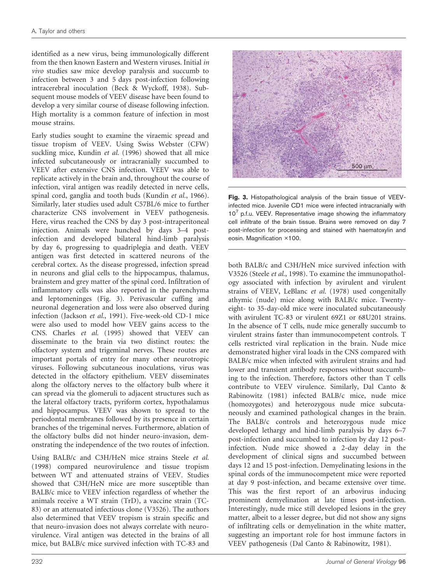identified as a new virus, being immunologically different from the then known Eastern and Western viruses. Initial in vivo studies saw mice develop paralysis and succumb to infection between 3 and 5 days post-infection following intracerebral inoculation (Beck & Wyckoff, 1938). Subsequent mouse models of VEEV disease have been found to develop a very similar course of disease following infection. High mortality is a common feature of infection in most mouse strains.

Early studies sought to examine the viraemic spread and tissue tropism of VEEV. Using Swiss Webster (CFW) suckling mice, Kundin et al. (1996) showed that all mice infected subcutaneously or intracranially succumbed to VEEV after extensive CNS infection. VEEV was able to replicate actively in the brain and, throughout the course of infection, viral antigen was readily detected in nerve cells, spinal cord, ganglia and tooth buds (Kundin et al., 1966). Similarly, later studies used adult C57BL/6 mice to further characterize CNS involvement in VEEV pathogenesis. Here, virus reached the CNS by day 3 post-intraperitoneal injection. Animals were hunched by days 3–4 postinfection and developed bilateral hind-limb paralysis by day 6, progressing to quadriplegia and death. VEEV antigen was first detected in scattered neurons of the cerebral cortex. As the disease progressed, infection spread in neurons and glial cells to the hippocampus, thalamus, brainstem and grey matter of the spinal cord. Infiltration of inflammatory cells was also reported in the parenchyma and leptomeninges (Fig. 3). Perivascular cuffing and neuronal degeneration and loss were also observed during infection (Jackson et al., 1991). Five-week-old CD-1 mice were also used to model how VEEV gains access to the CNS. Charles et al. (1995) showed that VEEV can disseminate to the brain via two distinct routes: the olfactory system and trigeminal nerves. These routes are important portals of entry for many other neurotropic viruses. Following subcutaneous inoculations, virus was detected in the olfactory epithelium. VEEV disseminates along the olfactory nerves to the olfactory bulb where it can spread via the glomeruli to adjacent structures such as the lateral olfactory tracts, pyriform cortex, hypothalamus and hippocampus. VEEV was shown to spread to the periodontal membranes followed by its presence in certain branches of the trigeminal nerves. Furthermore, ablation of the olfactory bulbs did not hinder neuro-invasion, demonstrating the independence of the two routes of infection.

Using BALB/c and C3H/HeN mice strains Steele et al. (1998) compared neurovirulence and tissue tropism between WT and attenuated strains of VEEV. Studies showed that C3H/HeN mice are more susceptible than BALB/c mice to VEEV infection regardless of whether the animals receive a WT strain (TrD), a vaccine strain (TC-83) or an attenuated infectious clone (V3526). The authors also determined that VEEV tropism is strain specific and that neuro-invasion does not always correlate with neurovirulence. Viral antigen was detected in the brains of all mice, but BALB/c mice survived infection with TC-83 and



Fig. 3. Histopathological analysis of the brain tissue of VEEVinfected mice. Juvenile CD1 mice were infected intracranially with 10<sup>7</sup> p.f.u. VEEV. Representative image showing the inflammatory cell infiltrate of the brain tissue. Brains were removed on day 7 post-infection for processing and stained with haematoxylin and eosin. Magnification ×100.

both BALB/c and C3H/HeN mice survived infection with V3526 (Steele et al., 1998). To examine the immunopathology associated with infection by avirulent and virulent strains of VEEV, LeBlanc et al. (1978) used congenitally athymic (nude) mice along with BALB/c mice. Twentyeight- to 35-day-old mice were inoculated subcutaneously with avirulent TC-83 or virulent 69Z1 or 68U201 strains. In the absence of T cells, nude mice generally succumb to virulent strains faster than immunocompetent controls. T cells restricted viral replication in the brain. Nude mice demonstrated higher viral loads in the CNS compared with BALB/c mice when infected with avirulent strains and had lower and transient antibody responses without succumbing to the infection. Therefore, factors other than T cells contribute to VEEV virulence. Similarly, Dal Canto & Rabinowitz (1981) infected BALB/c mice, nude mice (homozygotes) and heterozygous nude mice subcutaneously and examined pathological changes in the brain. The BALB/c controls and heterozygous nude mice developed lethargy and hind-limb paralysis by days 6–7 post-infection and succumbed to infection by day 12 postinfection. Nude mice showed a 2-day delay in the development of clinical signs and succumbed between days 12 and 15 post-infection. Demyelinating lesions in the spinal cords of the immunocompetent mice were reported at day 9 post-infection, and became extensive over time. This was the first report of an arbovirus inducing prominent demyelination at late times post-infection. Interestingly, nude mice still developed lesions in the grey matter, albeit to a lesser degree, but did not show any signs of infiltrating cells or demyelination in the white matter, suggesting an important role for host immune factors in VEEV pathogenesis (Dal Canto & Rabinowitz, 1981).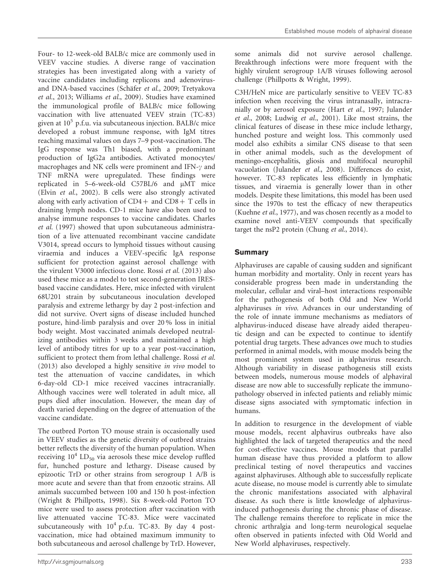Four- to 12-week-old BALB/c mice are commonly used in VEEV vaccine studies. A diverse range of vaccination strategies has been investigated along with a variety of vaccine candidates including replicons and adenovirusand DNA-based vaccines (Schäfer et al., 2009; Tretyakova et al., 2013; Williams et al., 2009). Studies have examined the immunological profile of BALB/c mice following vaccination with live attenuated VEEV strain (TC-83) given at 10<sup>5</sup> p.f.u. via subcutaneous injection. BALB/c mice developed a robust immune response, with IgM titres reaching maximal values on days 7–9 post-vaccination. The IgG response was Th1 biased, with a predominant production of IgG2a antibodies. Activated monocytes/ macrophages and NK cells were prominent and IFN- $\gamma$  and TNF mRNA were upregulated. These findings were replicated in 5–6-week-old C57BL/6 and µMT mice (Elvin et al., 2002). B cells were also strongly activated along with early activation of  $CD4+$  and  $CD8+$  T cells in draining lymph nodes. CD-1 mice have also been used to analyse immune responses to vaccine candidates. Charles et al. (1997) showed that upon subcutaneous administration of a live attenuated recombinant vaccine candidate V3014, spread occurs to lymphoid tissues without causing viraemia and induces a VEEV-specific IgA response sufficient for protection against aerosol challenge with the virulent V3000 infectious clone. Rossi et al. (2013) also used these mice as a model to test second-generation IRESbased vaccine candidates. Here, mice infected with virulent 68U201 strain by subcutaneous inoculation developed paralysis and extreme lethargy by day 2 post-infection and did not survive. Overt signs of disease included hunched posture, hind-limb paralysis and over 20 % loss in initial body weight. Most vaccinated animals developed neutralizing antibodies within 3 weeks and maintained a high level of antibody titres for up to a year post-vaccination, sufficient to protect them from lethal challenge. Rossi et al. (2013) also developed a highly sensitive in vivo model to test the attenuation of vaccine candidates, in which 6-day-old CD-1 mice received vaccines intracranially. Although vaccines were well tolerated in adult mice, all pups died after inoculation. However, the mean day of death varied depending on the degree of attenuation of the vaccine candidate.

The outbred Porton TO mouse strain is occasionally used in VEEV studies as the genetic diversity of outbred strains better reflects the diversity of the human population. When receiving  $10^4$  LD<sub>50</sub> via aerosols these mice develop ruffled fur, hunched posture and lethargy. Disease caused by epizootic TrD or other strains from serogroup 1 A/B is more acute and severe than that from enzootic strains. All animals succumbed between 100 and 150 h post-infection (Wright & Phillpotts, 1998). Six 8-week-old Porton TO mice were used to assess protection after vaccination with live attenuated vaccine TC-83. Mice were vaccinated subcutaneously with  $10^4$  p.f.u. TC-83. By day 4 postvaccination, mice had obtained maximum immunity to both subcutaneous and aerosol challenge by TrD. However,

some animals did not survive aerosol challenge. Breakthrough infections were more frequent with the highly virulent serogroup 1A/B viruses following aerosol challenge (Phillpotts & Wright, 1999).

C3H/HeN mice are particularly sensitive to VEEV TC-83 infection when receiving the virus intranasally, intracranially or by aerosol exposure (Hart et al., 1997; Julander et al., 2008; Ludwig et al., 2001). Like most strains, the clinical features of disease in these mice include lethargy, hunched posture and weight loss. This commonly used model also exhibits a similar CNS disease to that seen in other animal models, such as the development of meningo-encephalitis, gliosis and multifocal neurophil vacuolation (Julander et al., 2008). Differences do exist, however. TC-83 replicates less efficiently in lymphatic tissues, and viraemia is generally lower than in other models. Despite these limitations, this model has been used since the 1970s to test the efficacy of new therapeutics (Kuehne et al., 1977), and was chosen recently as a model to examine novel anti-VEEV compounds that specifically target the nsP2 protein (Chung et al., 2014).

# **Summary**

Alphaviruses are capable of causing sudden and significant human morbidity and mortality. Only in recent years has considerable progress been made in understanding the molecular, cellular and viral–host interactions responsible for the pathogenesis of both Old and New World alphaviruses in vivo. Advances in our understanding of the role of innate immune mechanisms as mediators of alphavirus-induced disease have already aided therapeutic design and can be expected to continue to identify potential drug targets. These advances owe much to studies performed in animal models, with mouse models being the most prominent system used in alphavirus research. Although variability in disease pathogenesis still exists between models, numerous mouse models of alphaviral disease are now able to successfully replicate the immunopathology observed in infected patients and reliably mimic disease signs associated with symptomatic infection in humans.

In addition to resurgence in the development of viable mouse models, recent alphavirus outbreaks have also highlighted the lack of targeted therapeutics and the need for cost-effective vaccines. Mouse models that parallel human disease have thus provided a platform to allow preclinical testing of novel therapeutics and vaccines against alphaviruses. Although able to successfully replicate acute disease, no mouse model is currently able to simulate the chronic manifestations associated with alphaviral disease. As such there is little knowledge of alphavirusinduced pathogenesis during the chronic phase of disease. The challenge remains therefore to replicate in mice the chronic arthralgia and long-term neurological sequelae often observed in patients infected with Old World and New World alphaviruses, respectively.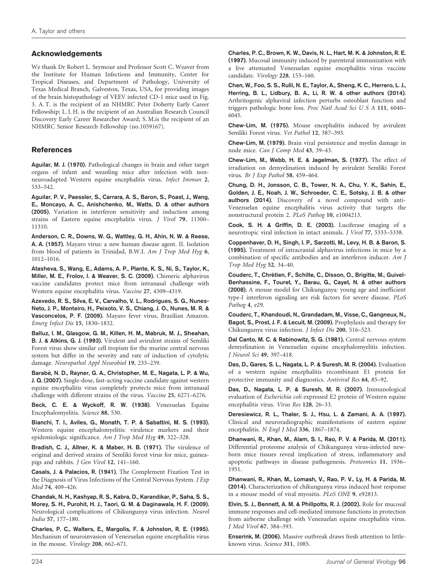### Acknowledgements

We thank Dr Robert L. Seymour and Professor Scott C. Weaver from the Institute for Human Infections and Immunity, Center for Tropical Diseases, and Department of Pathology, University of Texas Medical Branch, Galveston, Texas, USA, for providing images of the brain histopathology of VEEV infected CD-1 mice used in Fig. 3. A. T. is the recipient of an NHMRC Peter Doherty Early Career Fellowship; L. J. H. is the recipient of an Australian Research Council Discovery Early Career Researcher Award; S. M.is the recipient of an NHMRC Senior Research Fellowship (no.1059167).

#### References

Aguilar, M. J. (1970). Pathological changes in brain and other target organs of infant and weanling mice after infection with nonneuroadapted Western equine encephalitis virus. Infect Immun 2, 533–542.

Aguilar, P. V., Paessler, S., Carrara, A. S., Baron, S., Poast, J., Wang, E., Moncayo, A. C., Anishchenko, M., Watts, D. & other authors (2005). Variation in interferon sensitivity and induction among strains of Eastern equine encephalitis virus. J Virol 79, 11300– 11310.

Anderson, C. R., Downs, W. G., Wattley, G. H., Ahin, N. W. & Reese, A. A. (1957). Mayaro virus: a new human disease agent. II. Isolation from blood of patients in Trinidad, B.W.I. Am J Trop Med Hyg 6, 1012–1016.

Atasheva, S., Wang, E., Adams, A. P., Plante, K. S., Ni, S., Taylor, K., Miller, M. E., Frolov, I. & Weaver, S. C. (2009). Chimeric alphavirus vaccine candidates protect mice from intranasal challenge with Western equine encephalitis virus. Vaccine 27, 4309–4319.

Azevedo, R. S., Silva, E. V., Carvalho, V. L., Rodrigues, S. G., Nunes-Neto, J. P., Monteiro, H., Peixoto, V. S., Chiang, J. O., Nunes, M. R. & Vasconcelos, P. F. (2009). Mayaro fever virus, Brazilian Amazon. Emerg Infect Dis 15, 1830–1832.

Balluz, I. M., Glasgow, G. M., Killen, H. M., Mabruk, M. J., Sheahan, B. J. & Atkins, G. J. (1993). Virulent and avirulent strains of Semliki Forest virus show similar cell tropism for the murine central nervous system but differ in the severity and rate of induction of cytolytic damage. Neuropathol Appl Neurobiol 19, 233–239.

Barabé, N. D., Rayner, G. A., Christopher, M. E., Nagata, L. P. & Wu, J. Q. (2007). Single-dose, fast-acting vaccine candidate against western equine encephalitis virus completely protects mice from intranasal challenge with different strains of the virus. Vaccine 25, 6271–6276.

Beck, C. E. & Wyckoff, R. W. (1938). Venezuelan Equine Encephalomyelitis. Science 88, 530.

Bianchi, T. I., Aviles, G., Monath, T. P. & Sabattini, M. S. (1993). Western equine encephalomyelitis: virulence markers and their epidemiologic significance. Am J Trop Med Hyg 49, 322–328.

Bradish, C. J., Allner, K. & Maber, H. B. (1971). The virulence of original and derived strains of Semliki forest virus for mice, guineapigs and rabbits. J Gen Virol 12, 141–160.

Casals, J. & Palacios, R. (1941). The Complement Fixation Test in the Diagnosis of Virus Infections of the Central Nervous System. J Exp Med 74, 409–426.

Chandak, N. H., Kashyap, R. S., Kabra, D., Karandikar, P., Saha, S. S., Morey, S. H., Purohit, H. J., Taori, G. M. & Daginawala, H. F. (2009). Neurological complications of Chikungunya virus infection. Neurol India 57, 177–180.

Charles, P. C., Walters, E., Margolis, F. & Johnston, R. E. (1995). Mechanism of neuroinvasion of Venezuelan equine encephalitis virus in the mouse. Virology 208, 662–671.

Charles, P. C., Brown, K. W., Davis, N. L., Hart, M. K. & Johnston, R. E. (1997). Mucosal immunity induced by parenteral immunization with a live attenuated Venezuelan equine encephalitis virus vaccine candidate. Virology 228, 153–160.

Chen, W., Foo, S. S., Rulli, N. E., Taylor, A., Sheng, K. C., Herrero, L. J., Herring, B. L., Lidbury, B. A., Li, R. W. & other authors (2014). Arthritogenic alphaviral infection perturbs osteoblast function and triggers pathologic bone loss. Proc Natl Acad Sci U S A 111, 6040– 6045.

Chew-Lim, M. (1975). Mouse encephalitis induced by avirulent Semliki Forest virus. Vet Pathol 12, 387–393.

Chew-Lim, M. (1979). Brain viral persistence and myelin damage in nude mice. Can J Comp Med 43, 39–43.

Chew-Lim, M., Webb, H. E. & Jagelman, S. (1977). The effect of irradiation on demyelination induced by avirulent Semliki Forest virus. Br J Exp Pathol 58, 459–464.

Chung, D. H., Jonsson, C. B., Tower, N. A., Chu, Y. K., Sahin, E., Golden, J. E., Noah, J. W., Schroeder, C. E., Sotsky, J. B. & other authors (2014). Discovery of a novel compound with anti-Venezuelan equine encephalitis virus activity that targets the nonstructural protein 2. PLoS Pathog 10, e1004213.

Cook, S. H. & Griffin, D. E. (2003). Luciferase imaging of a neurotropic viral infection in intact animals. J Virol 77, 5333–5338.

Coppenhaver, D. H., Singh, I. P., Sarzotti, M., Levy, H. B. & Baron, S. (1995). Treatment of intracranial alphavirus infections in mice by a combination of specific antibodies and an interferon inducer. Am J Trop Med Hyg 52, 34–40.

Couderc, T., Chrétien, F., Schilte, C., Disson, O., Brigitte, M., Guivel-Benhassine, F., Touret, Y., Barau, G., Cayet, N. & other authors (2008). A mouse model for Chikungunya: young age and inefficient type-I interferon signaling are risk factors for severe disease. PLoS Pathog 4, e29.

Couderc, T., Khandoudi, N., Grandadam, M., Visse, C., Gangneux, N., Bagot, S., Prost, J. F. & Lecuit, M. (2009). Prophylaxis and therapy for Chikungunya virus infection. J Infect Dis 200, 516–523.

Dal Canto, M. C. & Rabinowitz, S. G. (1981). Central nervous system demyelination in Venezuelan equine encephalomyelitis infection. J Neurol Sci 49, 397–418.

Das, D., Gares, S. L., Nagata, L. P. & Suresh, M. R. (2004). Evaluation of a western equine encephalitis recombinant E1 protein for protective immunity and diagnostics. Antiviral Res 64, 85–92.

Das, D., Nagata, L. P. & Suresh, M. R. (2007). Immunological evaluation of Escherichia coli expressed E2 protein of Western equine encephalitis virus. Virus Res 128, 26–33.

Deresiewicz, R. L., Thaler, S. J., Hsu, L. & Zamani, A. A. (1997). Clinical and neuroradiographic manifestations of eastern equine encephalitis. N Engl J Med 336, 1867–1874.

Dhanwani, R., Khan, M., Alam, S. I., Rao, P. V. & Parida, M. (2011). Differential proteome analysis of Chikungunya virus-infected newborn mice tissues reveal implication of stress, inflammatory and apoptotic pathways in disease pathogenesis. Proteomics 11, 1936– 1951.

Dhanwani, R., Khan, M., Lomash, V., Rao, P. V., Ly, H. & Parida, M. (2014). Characterization of chikungunya virus induced host response in a mouse model of viral myositis. PLoS ONE 9, e92813.

Elvin, S. J., Bennett, A. M. & Phillpotts, R. J. (2002). Role for mucosal immune responses and cell-mediated immune functions in protection from airborne challenge with Venezuelan equine encephalitis virus. J Med Virol 67, 384–393.

Enserink, M. (2006). Massive outbreak draws fresh attention to littleknown virus. Science 311, 1085.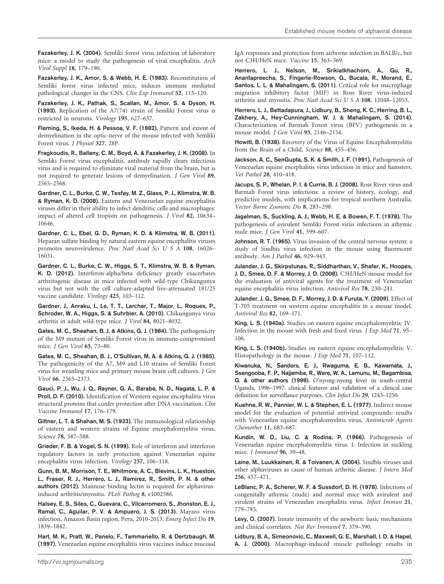Fazakerley, J. K. (2004). Semliki forest virus infection of laboratory mice: a model to study the pathogenesis of viral encephalitis. Arch Virol Suppl 18, 179–190.

Fazakerley, J. K., Amor, S. & Webb, H. E. (1983). Reconstitution of Semliki forest virus infected mice, induces immune mediated pathological changes in the CNS. Clin Exp Immunol 52, 115–120.

Fazakerley, J. K., Pathak, S., Scallan, M., Amor, S. & Dyson, H. (1993). Replication of the A7(74) strain of Semliki Forest virus is restricted in neurons. Virology 195, 627–637.

Fleming, S., Ikeda, H. & Pessoa, V. F. (1982). Pattern and extent of demyelination in the optic-nerve of the mouse infected with Semliki Forest virus. J Physiol 327, 28P.

Fragkoudis, R., Ballany, C. M., Boyd, A. & Fazakerley, J. K. (2008). In Semliki Forest virus encephalitis, antibody rapidly clears infectious virus and is required to eliminate viral material from the brain, but is not required to generate lesions of demyelination. J Gen Virol 89, 2565–2568.

Gardner, C. L., Burke, C. W., Tesfay, M. Z., Glass, P. J., Klimstra, W. B. & Ryman, K. D. (2008). Eastern and Venezuelan equine encephalitis viruses differ in their ability to infect dendritic cells and macrophages: impact of altered cell tropism on pathogenesis. J Virol 82, 10634– 10646.

Gardner, C. L., Ebel, G. D., Ryman, K. D. & Klimstra, W. B. (2011). Heparan sulfate binding by natural eastern equine encephalitis viruses promotes neurovirulence. Proc Natl Acad Sci U S A 108, 16026– 16031.

Gardner, C. L., Burke, C. W., Higgs, S. T., Klimstra, W. B. & Ryman, K. D. (2012). Interferon-alpha/beta deficiency greatly exacerbates arthritogenic disease in mice infected with wild-type Chikungunya virus but not with the cell culture-adapted live-attenuated 181/25 vaccine candidate. Virology 425, 103–112.

Gardner, J., Anraku, I., Le, T. T., Larcher, T., Major, L., Roques, P., Schroder, W. A., Higgs, S. & Suhrbier, A. (2010). Chikungunya virus arthritis in adult wild-type mice. J Virol 84, 8021–8032.

Gates, M. C., Sheahan, B. J. & Atkins, G. J. (1984). The pathogenicity of the M9 mutant of Semliki Forest virus in immune-compromised mice. J Gen Virol 65, 73–80.

Gates, M. C., Sheahan, B. J., O'Sullivan, M. A. & Atkins, G. J. (1985). The pathogenicity of the A7, M9 and L10 strains of Semliki Forest virus for weanling mice and primary mouse brain cell cultures. J Gen Virol 66, 2365–2373.

Gauci, P. J., Wu, J. Q., Rayner, G. A., Barabé, N. D., Nagata, L. P. & Proll, D. F. (2010). Identification of Western equine encephalitis virus structural proteins that confer protection after DNA vaccination. Clin Vaccine Immunol 17, 176–179.

Giltner, L. T. & Shahan, M. S. (1933). The immunological relationship of eastern and western strains of Equine encephalomyelitis virus. Science 78, 587–588.

Grieder, F. B. & Vogel, S. N. (1999). Role of interferon and interferon regulatory factors in early protection against Venezuelan equine encephalitis virus infection. Virology 257, 106–118.

Gunn, B. M., Morrison, T. E., Whitmore, A. C., Blevins, L. K., Hueston, L., Fraser, R. J., Herrero, L. J., Ramirez, R., Smith, P. N. & other authors (2012). Mannose binding lectin is required for alphavirusinduced arthritis/myositis. PLoS Pathog 8, e1002586.

Halsey, E. S., Siles, C., Guevara, C., Vilcarromero, S., Jhonston, E. J., Ramal, C., Aguilar, P. V. & Ampuero, J. S. (2013). Mayaro virus infection, Amazon Basin region, Peru, 2010-2013. Emerg Infect Dis 19, 1839–1842.

Hart, M. K., Pratt, W., Panelo, F., Tammariello, R. & Dertzbaugh, M. (1997). Venezuelan equine encephalitis virus vaccines induce mucosal IgA responses and protection from airborne infection in BALB/c, but not C3H/HeN mice. Vaccine 15, 363–369.

Herrero, L. J., Nelson, M., Srikiatkhachorn, A., Gu, R., Anantapreecha, S., Fingerle-Rowson, G., Bucala, R., Morand, E., Santos, L. L. & Mahalingam, S. (2011). Critical role for macrophage migration inhibitory factor (MIF) in Ross River virus-induced arthritis and myositis. Proc Natl Acad Sci U S A 108, 12048–12053.

Herrero, L. J., Bettadapura, J., Lidbury, B., Sheng, K. C., Herring, B. L., Zakhery, A., Hey-Cunningham, W. J. & Mahalingam, S. (2014). Characterization of Barmah Forest virus (BFV) pathogenesis in a mouse model. J Gen Virol 95, 2146–2154.

Howitt, B. (1938). Recovery of the Virus of Equine Encephalomyelitis from the Brain of a Child. Science 88, 455–456.

Jackson, A. C., SenGupta, S. K. & Smith, J. F. (1991). Pathogenesis of Venezuelan equine encephalitis virus infection in mice and hamsters. Vet Pathol 28, 410–418.

Jacups, S. P., Whelan, P. I. & Currie, B. J. (2008). Ross River virus and Barmah Forest virus infections: a review of history, ecology, and predictive models, with implications for tropical northern Australia. Vector Borne Zoonotic Dis 8, 283–298.

Jagelman, S., Suckling, A. J., Webb, H. E. & Bowen, F. T. (1978). The pathogenesis of avirulent Semliki Forest virus infections in athymic nude mice. J Gen Virol 41, 599–607.

Johnson, R. T. (1965). Virus invasion of the central nervous system: a study of Sindbis virus infection in the mouse using fluorescent antibody. Am J Pathol 46, 929–943.

Julander, J. G., Skirpstunas, R., Siddharthan, V., Shafer, K., Hoopes, J. D., Smee, D. F. & Morrey, J. D. (2008). C3H/HeN mouse model for the evaluation of antiviral agents for the treatment of Venezuelan equine encephalitis virus infection. Antiviral Res 78, 230–241.

Julander, J. G., Smee, D. F., Morrey, J. D. & Furuta, Y. (2009). Effect of T-705 treatment on western equine encephalitis in a mouse model. Antiviral Res 82, 169–171.

King, L. S. (1940a). Studies on eastern equine encephalomyelitis: IV. Infection in the mouse with fresh and fixed virus. J Exp Med 71, 95– 106.

King, L. S. (1940b). Studies on eastern equine encephalomyelitis: V. Histopathology in the mouse. J Exp Med 71, 107–112.

Kiwanuka, N., Sanders, E. J., Rwaguma, E. B., Kawamata, J., Ssengooba, F. P., Najjemba, R., Were, W. A., Lamunu, M., Bagambisa, G. & other authors (1999). O'nyong-nyong fever in south-central Uganda, 1996–1997: clinical features and validation of a clinical case definition for surveillance purposes. Clin Infect Dis 29, 1243–1250.

Kuehne, R. W., Pannier, W. L. & Stephen, E. L. (1977). Indirect mouse model for the evaluation of potential antiviral compounds: results with Venezuelan equine encephalomyelitis virus. Antimicrob Agents Chemother 11, 683–687.

Kundin, W. D., Liu, C. & Rodina, P. (1966). Pathogenesis of Venezuelan equine encephalomyelitis virus. I. Infection in suckling mice. J Immunol 96, 39–48.

Laine, M., Luukkainen, R. & Toivanen, A. (2004). Sindbis viruses and other alphaviruses as cause of human arthritic disease. J Intern Med 256, 457–471.

LeBlanc, P. A., Scherer, W. F. & Sussdorf, D. H. (1978). Infections of congenitally athymic (nude) and normal mice with avirulent and virulent strains of Venezuelan encephalitis virus. Infect Immun 21, 779–785.

Levy, O. (2007). Innate immunity of the newborn: basic mechanisms and clinical correlates. Nat Rev Immunol 7, 379–390.

Lidbury, B. A., Simeonovic, C., Maxwell, G. E., Marshall, I. D. & Hapel, A. J. (2000). Macrophage-induced muscle pathology results in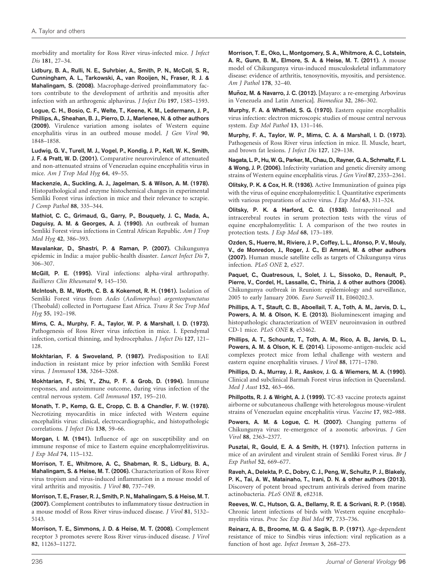morbidity and mortality for Ross River virus-infected mice. J Infect Dis 181, 27–34.

Lidbury, B. A., Rulli, N. E., Suhrbier, A., Smith, P. N., McColl, S. R., Cunningham, A. L., Tarkowski, A., van Rooijen, N., Fraser, R. J. & Mahalingam, S. (2008). Macrophage-derived proinflammatory factors contribute to the development of arthritis and myositis after infection with an arthrogenic alphavirus. J Infect Dis 197, 1585–1593.

Logue, C. H., Bosio, C. F., Welte, T., Keene, K. M., Ledermann, J. P., Phillips, A., Sheahan, B. J., Pierro, D. J., Marlenee, N. & other authors (2009). Virulence variation among isolates of Western equine encephalitis virus in an outbred mouse model. J Gen Virol 90, 1848–1858.

Ludwig, G. V., Turell, M. J., Vogel, P., Kondig, J. P., Kell, W. K., Smith, J. F. & Pratt, W. D. (2001). Comparative neurovirulence of attenuated and non-attenuated strains of Venezuelan equine encephalitis virus in mice. Am J Trop Med Hyg 64, 49-55.

Mackenzie, A., Suckling, A. J., Jagelman, S. & Wilson, A. M. (1978). Histopathological and enzyme histochemical changes in experimental Semliki Forest virus infection in mice and their relevance to scrapie. J Comp Pathol 88, 335–344.

Mathiot, C. C., Grimaud, G., Garry, P., Bouquety, J. C., Mada, A., Daguisy, A. M. & Georges, A. J. (1990). An outbreak of human Semliki Forest virus infections in Central African Republic. Am J Trop Med Hyg 42, 386–393.

Mavalankar, D., Shastri, P. & Raman, P. (2007). Chikungunya epidemic in India: a major public-health disaster. Lancet Infect Dis 7, 306–307.

McGill, P. E. (1995). Viral infections: alpha-viral arthropathy. Baillieres Clin Rheumatol 9, 145–150.

McIntosh, B. M., Worth, C. B. & Kokernot, R. H. (1961). Isolation of Semliki Forest virus from Aedes (Aedimorphus) argenteopunctatus (Theobald) collected in Portuguese East Africa. Trans R Soc Trop Med Hyg 55, 192–198.

Mims, C. A., Murphy, F. A., Taylor, W. P. & Marshall, I. D. (1973). Pathogenesis of Ross River virus infection in mice. I. Ependymal infection, cortical thinning, and hydrocephalus. J Infect Dis 127, 121– 128.

Mokhtarian, F. & Swoveland, P. (1987). Predisposition to EAE induction in resistant mice by prior infection with Semliki Forest virus. J Immunol 138, 3264–3268.

Mokhtarian, F., Shi, Y., Zhu, P. F. & Grob, D. (1994). Immune responses, and autoimmune outcome, during virus infection of the central nervous system. Cell Immunol 157, 195–210.

Monath, T. P., Kemp, G. E., Cropp, C. B. & Chandler, F. W. (1978). Necrotizing myocarditis in mice infected with Western equine encephalitis virus: clinical, electrocardiographic, and histopathologic correlations. J Infect Dis 138, 59–66.

Morgan, I. M. (1941). Influence of age on susceptibility and on immune response of mice to Eastern equine encephalomyelitisvirus. J Exp Med 74, 115–132.

Morrison, T. E., Whitmore, A. C., Shabman, R. S., Lidbury, B. A., Mahalingam, S. & Heise, M. T. (2006). Characterization of Ross River virus tropism and virus-induced inflammation in a mouse model of viral arthritis and myositis. J Virol 80, 737–749.

Morrison, T. E., Fraser, R. J., Smith, P. N., Mahalingam, S. & Heise, M. T. (2007). Complement contributes to inflammatory tissue destruction in a mouse model of Ross River virus-induced disease. J Virol 81, 5132– 5143.

Morrison, T. E., Simmons, J. D. & Heise, M. T. (2008). Complement receptor 3 promotes severe Ross River virus-induced disease. J Virol 82, 11263–11272.

Morrison, T. E., Oko, L., Montgomery, S. A., Whitmore, A. C., Lotstein, A. R., Gunn, B. M., Elmore, S. A. & Heise, M. T. (2011). A mouse model of Chikungunya virus-induced musculoskeletal inflammatory disease: evidence of arthritis, tenosynovitis, myositis, and persistence. Am J Pathol 178, 32–40.

Muñoz, M. & Navarro, J. C. (2012). [Mayaro: a re-emerging Arbovirus in Venezuela and Latin America]. Biomedica 32, 286–302.

Murphy, F. A. & Whitfield, S. G. (1970). Eastern equine encephalitis virus infection: electron microscopic studies of mouse central nervous system. Exp Mol Pathol 13, 131–146.

Murphy, F. A., Taylor, W. P., Mims, C. A. & Marshall, I. D. (1973). Pathogenesis of Ross River virus infection in mice. II. Muscle, heart, and brown fat lesions. J Infect Dis 127, 129–138.

Nagata, L. P., Hu, W. G., Parker, M., Chau, D., Rayner, G. A., Schmaltz, F. L. & Wong, J. P. (2006). Infectivity variation and genetic diversity among strains of Western equine encephalitis virus. J Gen Virol 87, 2353–2361.

Olitsky, P. K. & Cox, H. R. (1936). Active Immunization of guinea pigs with the virus of equine encephalomyelitis: I. Quantitative experiments with various preparations of active virus. *J Exp Med* 63, 311–324.

Olitsky, P. K. & Harford, C. G. (1938). Intraperitoneal and intracerebral routes in serum protection tests with the virus of equine encephalomyelitis: I. A comparison of the two routes in protection tests. J Exp Med 68, 173–189.

Ozden, S., Huerre, M., Riviere, J. P., Coffey, L. L., Afonso, P. V., Mouly, V., de Monredon, J., Roger, J. C., El Amrani, M. & other authors (2007). Human muscle satellite cells as targets of Chikungunya virus infection. PLoS ONE 2, e527.

Paquet, C., Quatresous, I., Solet, J. L., Sissoko, D., Renault, P., Pierre, V., Cordel, H., Lassalle, C., Thiria, J. & other authors (2006). Chikungunya outbreak in Reunion: epidemiology and surveillance, 2005 to early January 2006. Euro Surveill 11, E060202.3.

Phillips, A. T., Stauft, C. B., Aboellail, T. A., Toth, A. M., Jarvis, D. L., Powers, A. M. & Olson, K. E. (2013). Bioluminescent imaging and histopathologic characterization of WEEV neuroinvasion in outbred CD-1 mice. PLoS ONE 8, e53462.

Phillips, A. T., Schountz, T., Toth, A. M., Rico, A. B., Jarvis, D. L., Powers, A. M. & Olson, K. E. (2014). Liposome-antigen-nucleic acid complexes protect mice from lethal challenge with western and eastern equine encephalitis viruses. J Virol 88, 1771–1780.

Phillips, D. A., Murray, J. R., Aaskov, J. G. & Wiemers, M. A. (1990). Clinical and subclinical Barmah Forest virus infection in Queensland. Med J Aust 152, 463–466.

Phillpotts, R. J. & Wright, A. J. (1999). TC-83 vaccine protects against airborne or subcutaneous challenge with heterologous mouse-virulent strains of Venezuelan equine encephalitis virus. Vaccine 17, 982–988.

Powers, A. M. & Logue, C. H. (2007). Changing patterns of Chikungunya virus: re-emergence of a zoonotic arbovirus. J Gen Virol 88, 2363–2377.

Pusztai, R., Gould, E. A. & Smith, H. (1971). Infection patterns in mice of an avirulent and virulent strain of Semliki Forest virus. Br J Exp Pathol 52, 669–677.

Raveh, A., Delekta, P. C., Dobry, C. J., Peng, W., Schultz, P. J., Blakely, P. K., Tai, A. W., Matainaho, T., Irani, D. N. & other authors (2013). Discovery of potent broad spectrum antivirals derived from marine actinobacteria. PLoS ONE 8, e82318.

Reeves, W. C., Hutson, G. A., Bellamy, R. E. & Scrivani, R. P. (1958). Chronic latent infections of birds with Western equine encephalomyelitis virus. Proc Soc Exp Biol Med 97, 733–736.

Reinarz, A. B., Broome, M. G. & Sagik, B. P. (1971). Age-dependent resistance of mice to Sindbis virus infection: viral replication as a function of host age. Infect Immun 3, 268–273.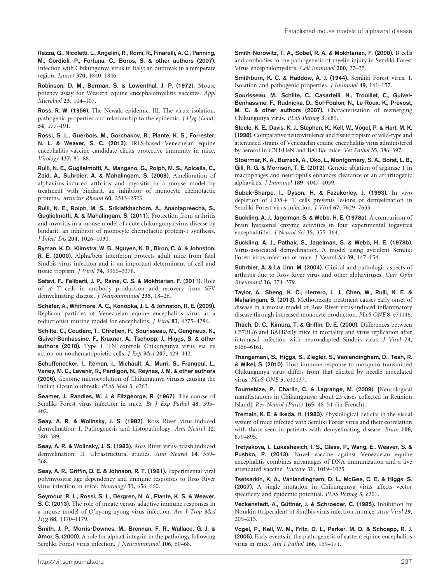Rezza, G., Nicoletti, L., Angelini, R., Romi, R., Finarelli, A. C., Panning, M., Cordioli, P., Fortuna, C., Boros, S. & other authors (2007). Infection with Chikungunya virus in Italy: an outbreak in a temperate region. Lancet 370, 1840–1846.

Robinson, D. M., Berman, S. & Lowenthal, J. P. (1972). Mouse potency assay for Western equine encephalomyelitis vaccines. Appl Microbiol 23, 104–107.

Ross, R. W. (1956). The Newala epidemic. III. The virus: isolation, pathogenic properties and relationship to the epidemic. J Hyg (Lond) 54, 177–191.

Rossi, S. L., Guerbois, M., Gorchakov, R., Plante, K. S., Forrester, N. L. & Weaver, S. C. (2013). IRES-based Venezuelan equine encephalitis vaccine candidate elicits protective immunity in mice. Virology 437, 81–88.

Rulli, N. E., Guglielmotti, A., Mangano, G., Rolph, M. S., Apicella, C., Zaid, A., Suhrbier, A. & Mahalingam, S. (2009). Amelioration of alphavirus-induced arthritis and myositis in a mouse model by treatment with bindarit, an inhibitor of monocyte chemotactic proteins. Arthritis Rheum 60, 2513–2523.

Rulli, N. E., Rolph, M. S., Srikiatkhachorn, A., Anantapreecha, S., Guglielmotti, A. & Mahalingam, S. (2011). Protection from arthritis and myositis in a mouse model of acute chikungunya virus disease by bindarit, an inhibitor of monocyte chemotactic protein-1 synthesis. J Infect Dis 204, 1026–1030.

Ryman, K. D., Klimstra, W. B., Nguyen, K. B., Biron, C. A. & Johnston, R. E. (2000). Alpha/beta interferon protects adult mice from fatal Sindbis virus infection and is an important determinant of cell and tissue tropism. J Virol 74, 3366–3378.

Safavi, F., Feliberti, J. P., Raine, C. S. & Mokhtarian, F. (2011). Role of  $\gamma\delta$  T cells in antibody production and recovery from SFV demyelinating disease. J Neuroimmunol 235, 18–26.

Schäfer, A., Whitmore, A. C., Konopka, J. L. & Johnston, R. E. (2009). Replicon particles of Venezuelan equine encephalitis virus as a reductionist murine model for encephalitis. J Virol 83, 4275–4286.

Schilte, C., Couderc, T., Chretien, F., Sourisseau, M., Gangneux, N., Guivel-Benhassine, F., Kraxner, A., Tschopp, J., Higgs, S. & other authors (2010). Type I IFN controls Chikungunya virus via its action on nonhematopoietic cells. J Exp Med 207, 429–442.

Schuffenecker, I., Iteman, I., Michault, A., Murri, S., Frangeul, L., Vaney, M. C., Lavenir, R., Pardigon, N., Reynes, J. M. & other authors (2006). Genome microevolution of Chikungunya viruses causing the Indian Ocean outbreak. PLoS Med 3, e263.

Seamer, J., Randles, W. J. & Fitzgeorge, R. (1967). The course of Semliki Forest virus infection in mice. Br J Exp Pathol 48, 395– 402.

Seay, A. R. & Wolinsky, J. S. (1982). Ross River virus-induced demyelination: I. Pathogenesis and histopathology. Ann Neurol 12, 380–389.

Seay, A. R. & Wolinsky, J. S. (1983). Ross River virus-ndash;induced demyelination: II. Ultrastructural studies. Ann Neurol 14, 559– 568.

Seay, A. R., Griffin, D. E. & Johnson, R. T. (1981). Experimental viral polymyositis: age dependency and immune responses to Ross River virus infection in mice. Neurology 31, 656–660.

Seymour, R. L., Rossi, S. L., Bergren, N. A., Plante, K. S. & Weaver, S. C. (2013). The role of innate versus adaptive immune responses in a mouse model of O'nyong-nyong virus infection. Am J Trop Med Hyg 88, 1170–1179.

Smith, J. P., Morris-Downes, M., Brennan, F. R., Wallace, G. J. & Amor, S. (2000). A role for alpha4-integrin in the pathology following Semliki Forest virus infection. J Neuroimmunol 106, 60–68.

Smith-Norowitz, T. A., Sobel, R. A. & Mokhtarian, F. (2000). B cells and antibodies in the pathogenesis of myelin injury in Semliki Forest Virus encephalomyelitis. Cell Immunol 200, 27–35.

Smithburn, K. C. & Haddow, A. J. (1944). Semliki Forest virus. I. Isolation and pathogenic properties. J Immunol 49, 141–157.

Sourisseau, M., Schilte, C., Casartelli, N., Trouillet, C., Guivel-Benhassine, F., Rudnicka, D., Sol-Foulon, N., Le Roux, K., Prevost, M. C. & other authors (2007). Characterization of reemerging Chikungunya virus. PLoS Pathog 3, e89.

Steele, K. E., Davis, K. J., Stephan, K., Kell, W., Vogel, P. & Hart, M. K. (1998). Comparative neurovirulence and tissue tropism of wild-type and attenuated strains of Venezuelan equine encephalitis virus administered by aerosol in C3H/HeN and BALB/c mice. Vet Pathol 35, 386–397.

Stoermer, K. A., Burrack, A., Oko, L., Montgomery, S. A., Borst, L. B., Gill, R. G. & Morrison, T. E. (2012). Genetic ablation of arginase 1 in macrophages and neutrophils enhances clearance of an arthritogenic alphavirus. J Immunol 189, 4047–4059.

Subak-Sharpe, I., Dyson, H. & Fazakerley, J. (1993). In vivo depletion of CD8+ T cells prevents lesions of demyelination in Semliki Forest virus infection. J Virol 67, 7629–7633.

Suckling, A. J., Jagelman, S. & Webb, H. E. (1978a). A comparison of brain lysosomal enzyme activities in four experimental togavirus encephalitides. J Neurol Sci 35, 355–364.

Suckling, A. J., Pathak, S., Jagelman, S. & Webb, H. E. (1978b). Virus-associated demyelination. A model using avirulent Semliki Forest virus infection of mice. J Neurol Sci 39, 147–154.

Suhrbier, A. & La Linn, M. (2004). Clinical and pathologic aspects of arthritis due to Ross River virus and other alphaviruses. Curr Opin Rheumatol 16, 374–379.

Taylor, A., Sheng, K. C., Herrero, L. J., Chen, W., Rulli, N. E. & Mahalingam, S. (2013). Methotrexate treatment causes early onset of disease in a mouse model of Ross River virus-induced inflammatory disease through increased monocyte production. PLoS ONE 8, e71146.

Thach, D. C., Kimura, T. & Griffin, D. E. (2000). Differences between C57BL/6 and BALB/cBy mice in mortality and virus replication after intranasal infection with neuroadapted Sindbis virus. J Virol 74, 6156–6161.

Thangamani, S., Higgs, S., Ziegler, S., Vanlandingham, D., Tesh, R. & Wikel, S. (2010). Host immune response to mosquito-transmitted Chikungunya virus differs from that elicited by needle inoculated virus. PLoS ONE 5, e12137.

Tournebize, P., Charlin, C. & Lagrange, M. (2009). [Neurological manifestations in Chikungunya: about 23 cases collected in Reunion Island]. Rev Neurol (Paris) 165, 48–51 (in French).

Tremain, K. E. & Ikeda, H. (1983). Physiological deficits in the visual system of mice infected with Semliki Forest virus and their correlation with those seen in patients with demyelinating disease. Brain 106, 879–895.

Tretyakova, I., Lukashevich, I. S., Glass, P., Wang, E., Weaver, S. & Pushko, P. (2013). Novel vaccine against Venezuelan equine encephalitis combines advantages of DNA immunization and a live attenuated vaccine. Vaccine 31, 1019–1025.

Tsetsarkin, K. A., Vanlandingham, D. L., McGee, C. E. & Higgs, S. (2007). A single mutation in Chikungunya virus affects vector specificity and epidemic potential. PLoS Pathog 3, e201.

Veckenstedt, A., Güttner, J. & Schroeder, C. (1985). Inhibition by Norakin (triperiden) of Sindbis virus infection in mice. Acta Virol 29, 209–215.

Vogel, P., Kell, W. M., Fritz, D. L., Parker, M. D. & Schoepp, R. J. (2005). Early events in the pathogenesis of eastern equine encephalitis virus in mice. Am J Pathol 166, 159–171.